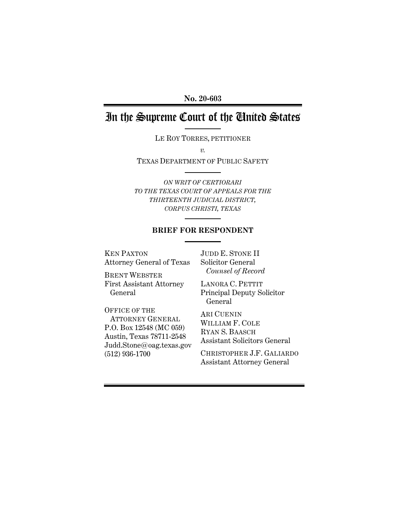**No. 20-603**

# In the Supreme Court of the United States

LE ROY TORRES, PETITIONER

*v.*

TEXAS DEPARTMENT OF PUBLIC SAFETY

*ON WRIT OF CERTIORARI TO THE TEXAS COURT OF APPEALS FOR THE THIRTEENTH JUDICIAL DISTRICT, CORPUS CHRISTI, TEXAS*

## **BRIEF FOR RESPONDENT**

KEN PAXTON Attorney General of Texas JUDD E. STONE II Solicitor General  *Counsel of Record*

BRENT WEBSTER First Assistant Attorney General

OFFICE OF THE ATTORNEY GENERAL P.O. Box 12548 (MC 059) Austin, Texas 78711-2548 Judd.Stone@oag.texas.gov (512) 936-1700

LANORA C. PETTIT Principal Deputy Solicitor General

ARI CUENIN WILLIAM F. COLE RYAN S. BAASCH Assistant Solicitors General

CHRISTOPHER J.F. GALIARDO Assistant Attorney General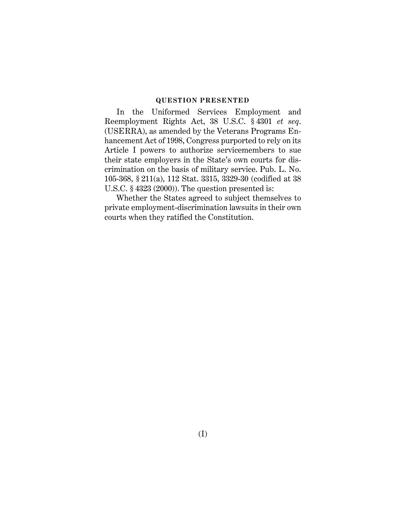#### <span id="page-1-1"></span>**QUESTION PRESENTED**

<span id="page-1-0"></span>In the Uniformed Services Employment and Reemployment Rights Act, 38 U.S.C. § 4301 *et seq*. (USERRA), as amended by the Veterans Programs Enhancement Act of 1998, Congress purported to rely on its Article I powers to authorize servicemembers to sue their state employers in the State's own courts for discrimination on the basis of military service. Pub. L. No. 105-368, § 211(a), 112 Stat. 3315, 3329-30 (codified at 38 U.S.C. § 4323 (2000)). The question presented is:

Whether the States agreed to subject themselves to private employment-discrimination lawsuits in their own courts when they ratified the Constitution.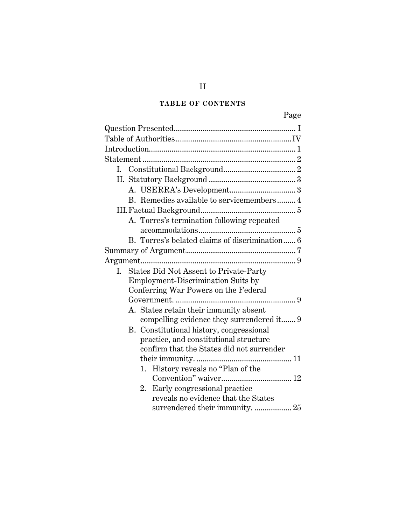# **TABLE OF CONTENTS**

|  | B. Remedies available to servicemembers4       |  |
|--|------------------------------------------------|--|
|  |                                                |  |
|  | A. Torres's termination following repeated     |  |
|  | B. Torres's belated claims of discrimination 6 |  |
|  |                                                |  |
|  |                                                |  |
|  | I. States Did Not Assent to Private-Party      |  |
|  | Employment-Discrimination Suits by             |  |
|  | Conferring War Powers on the Federal           |  |
|  |                                                |  |
|  | A. States retain their immunity absent         |  |
|  | compelling evidence they surrendered it 9      |  |
|  | B. Constitutional history, congressional       |  |
|  | practice, and constitutional structure         |  |
|  | confirm that the States did not surrender      |  |
|  |                                                |  |
|  | 1. History reveals no "Plan of the             |  |
|  |                                                |  |
|  | Early congressional practice<br>2.             |  |
|  | reveals no evidence that the States            |  |
|  | surrendered their immunity.  25                |  |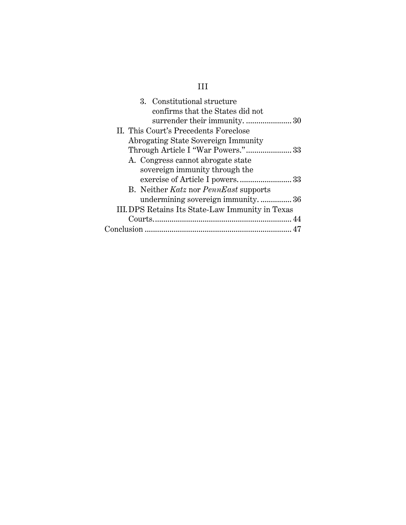| 3. Constitutional structure<br>confirms that the States did not |
|-----------------------------------------------------------------|
| II. This Court's Precedents Foreclose                           |
| Abrogating State Sovereign Immunity                             |
|                                                                 |
| A. Congress cannot abrogate state                               |
| sovereign immunity through the                                  |
|                                                                 |
| B. Neither Katz nor PennEast supports                           |
| undermining sovereign immunity36                                |
| III. DPS Retains Its State-Law Immunity in Texas                |
|                                                                 |
|                                                                 |
|                                                                 |

# III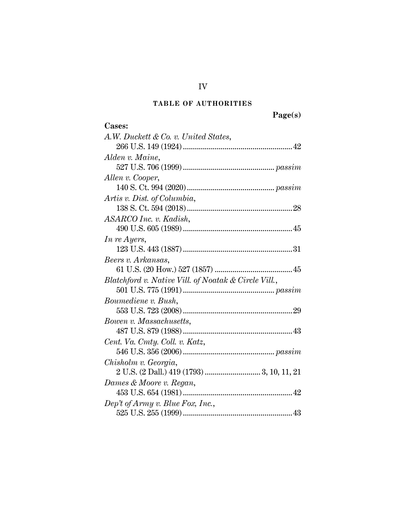# **TABLE OF AUTHORITIES**

**Page(s)**

<span id="page-4-0"></span>

| Cases:                                               |
|------------------------------------------------------|
| A.W. Duckett & Co. v. United States,                 |
|                                                      |
| Alden v. Maine,                                      |
|                                                      |
| Allen v. Cooper,                                     |
|                                                      |
| Artis v. Dist. of Columbia,                          |
|                                                      |
| ASARCO Inc. v. Kadish,                               |
|                                                      |
| In re Ayers,                                         |
|                                                      |
| Beers v. Arkansas,                                   |
|                                                      |
| Blatchford v. Native Vill. of Noatak & Circle Vill., |
|                                                      |
| Boumediene v. Bush,                                  |
|                                                      |
| Bowen v. Massachusetts,                              |
|                                                      |
| Cent. Va. Cmty. Coll. v. Katz,                       |
|                                                      |
| Chisholm v. Georgia,                                 |
|                                                      |
| Dames & Moore v. Regan,                              |
|                                                      |
| Dep't of Army v. Blue Fox, Inc.,                     |
|                                                      |

IV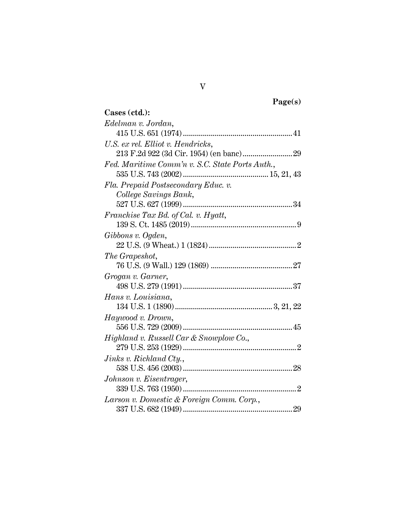**Page(s)**

| Cases (ctd.):                                   |
|-------------------------------------------------|
| Edelman v. Jordan,                              |
|                                                 |
| U.S. ex rel. Elliot v. Hendricks,               |
|                                                 |
| Fed. Maritime Comm'n v. S.C. State Ports Auth., |
|                                                 |
| Fla. Prepaid Postsecondary Educ. v.             |
| College Savings Bank,                           |
|                                                 |
| Franchise Tax Bd. of Cal. v. Hyatt,             |
|                                                 |
| Gibbons v. Ogden,                               |
|                                                 |
| The Grapeshot,                                  |
|                                                 |
| Grogan v. Garner,                               |
|                                                 |
| Hans v. Louisiana,                              |
|                                                 |
| Haywood v. Drown,                               |
|                                                 |
| Highland v. Russell Car & Snowplow Co.,         |
|                                                 |
| Jinks v. Richland Cty.,                         |
|                                                 |
| Johnson v. Eisentrager,                         |
|                                                 |
| Larson v. Domestic & Foreign Comm. Corp.,       |
|                                                 |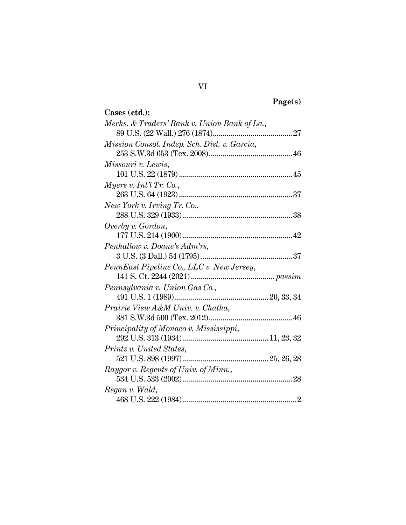| 0°P.(<br>u |
|------------|
|------------|

| Cases (ctd.):                                |
|----------------------------------------------|
| Mechs. & Traders' Bank v. Union Bank of La., |
|                                              |
| Mission Consol. Indep. Sch. Dist. v. Garcia, |
|                                              |
| Missouri v. Lewis,                           |
|                                              |
| Myers v. Int'l Tr. Co.,                      |
|                                              |
| New York v. Irving Tr. Co.,                  |
|                                              |
| Overby v. Gordon,                            |
|                                              |
| Penhallow v. Doane's Adm'rs,                 |
|                                              |
| PennEast Pipeline Co., LLC v. New Jersey,    |
|                                              |
| Pennsylvania v. Union Gas Co.,               |
|                                              |
| Prairie View A&M Univ. v. Chatha,            |
|                                              |
| Principality of Monaco v. Mississippi,       |
|                                              |
| Printz v. United States,                     |
|                                              |
| Raygor v. Regents of Univ. of Minn.,         |
|                                              |
| Regan v. Wald,                               |
|                                              |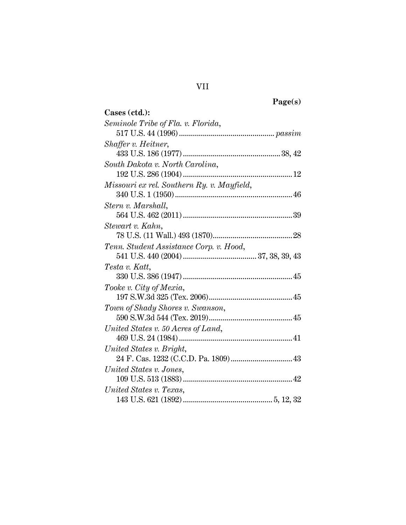| "<br>m<br>г |
|-------------|
|-------------|

| Cases (ctd.):                              |
|--------------------------------------------|
| Seminole Tribe of Fla. v. Florida,         |
|                                            |
| Shaffer v. Heitner,                        |
|                                            |
| South Dakota v. North Carolina,            |
|                                            |
| Missouri ex rel. Southern Ry. v. Mayfield, |
|                                            |
| Stern v. Marshall,                         |
|                                            |
| Stewart v. Kahn,                           |
|                                            |
| Tenn. Student Assistance Corp. v. Hood,    |
|                                            |
| Testa v. Katt,                             |
|                                            |
| Tooke v. City of Mexia,                    |
|                                            |
| Town of Shady Shores v. Swanson,           |
|                                            |
| United States v. 50 Acres of Land,         |
|                                            |
| United States v. Bright,                   |
|                                            |
| United States v. Jones,                    |
|                                            |
| United States v. Texas,                    |
|                                            |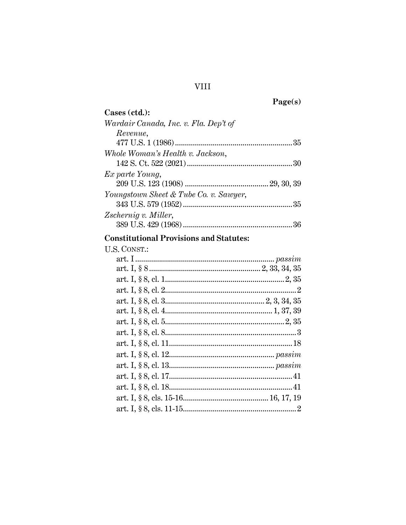Page(s)

| Cases (ctd.):                          |  |
|----------------------------------------|--|
| Wardair Canada, Inc. v. Fla. Dep't of  |  |
| Revenue,                               |  |
|                                        |  |
| Whole Woman's Health v. Jackson,       |  |
|                                        |  |
| Ex parte Young,                        |  |
|                                        |  |
| Youngstown Sheet & Tube Co. v. Sawyer, |  |
|                                        |  |
| Zschernig v. Miller,                   |  |
|                                        |  |

# **Constitutional Provisions and Statutes:**<br>U.S. CONST.:

| .N. UUNSE. |  |
|------------|--|
|            |  |
|            |  |
|            |  |
|            |  |
|            |  |
|            |  |
|            |  |
|            |  |
|            |  |
|            |  |
|            |  |
|            |  |
|            |  |
|            |  |
|            |  |
|            |  |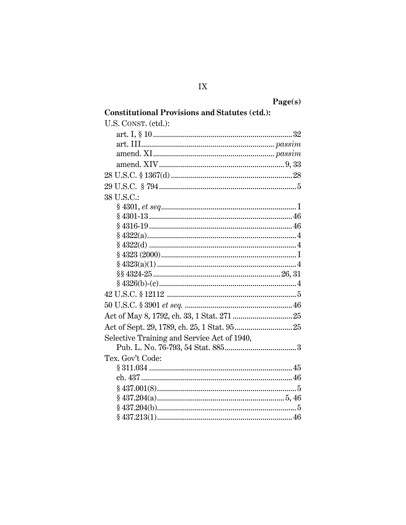| Page(s) |
|---------|
|---------|

| <b>Constitutional Provisions and Statutes (ctd.):</b> |  |
|-------------------------------------------------------|--|
| U.S. CONST. (ctd.):                                   |  |
|                                                       |  |
|                                                       |  |
|                                                       |  |
|                                                       |  |
|                                                       |  |
|                                                       |  |
| 38 U.S.C.:                                            |  |
|                                                       |  |
|                                                       |  |
|                                                       |  |
|                                                       |  |
|                                                       |  |
|                                                       |  |
|                                                       |  |
|                                                       |  |
|                                                       |  |
|                                                       |  |
|                                                       |  |
|                                                       |  |
|                                                       |  |
| Selective Training and Service Act of 1940,           |  |
|                                                       |  |
| Tex. Gov't Code:                                      |  |
|                                                       |  |
|                                                       |  |
| $\S~437.001(8)5$                                      |  |
|                                                       |  |
|                                                       |  |
|                                                       |  |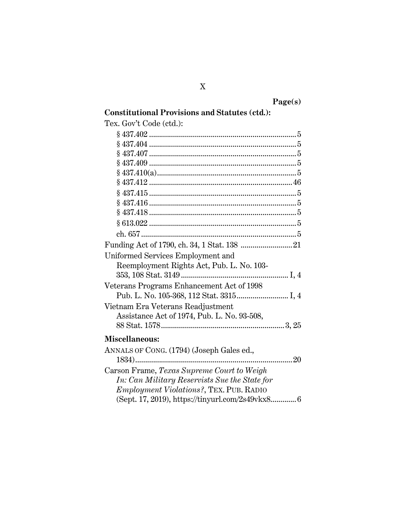**Page(s) Constitutional Provisions and Statutes (ctd.):**

| Tex. Gov't Code (ctd.):                          |
|--------------------------------------------------|
|                                                  |
|                                                  |
|                                                  |
|                                                  |
|                                                  |
|                                                  |
|                                                  |
|                                                  |
|                                                  |
|                                                  |
|                                                  |
| Funding Act of 1790, ch. 34, 1 Stat. 138  21     |
| Uniformed Services Employment and                |
| Reemployment Rights Act, Pub. L. No. 103-        |
|                                                  |
| Veterans Programs Enhancement Act of 1998        |
|                                                  |
| Vietnam Era Veterans Readjustment                |
| Assistance Act of 1974, Pub. L. No. 93-508,      |
|                                                  |
| Miscellaneous:                                   |
| ANNALS OF CONG. (1794) (Joseph Gales ed.,        |
| 20<br>1834)<br>                                  |
| Carson Frame, Texas Supreme Court to Weigh       |
| In: Can Military Reservists Sue the State for    |
| <i>Employment Violations?</i> , TEX. PUB. RADIO  |
| (Sept. 17, 2019), https://tinyurl.com/2s49vkx8 6 |

# X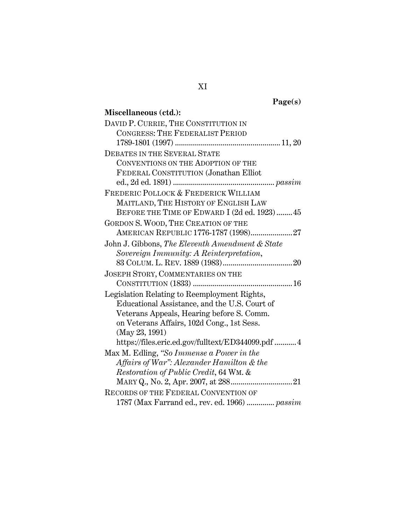| քԲԼ |  |
|-----|--|
|     |  |

| Miscellaneous (ctd.):                              |
|----------------------------------------------------|
| DAVID P. CURRIE, THE CONSTITUTION IN               |
| <b>CONGRESS: THE FEDERALIST PERIOD</b>             |
|                                                    |
| <b>DEBATES IN THE SEVERAL STATE</b>                |
| CONVENTIONS ON THE ADOPTION OF THE                 |
| FEDERAL CONSTITUTION (Jonathan Elliot              |
|                                                    |
| FREDERIC POLLOCK & FREDERICK WILLIAM               |
| MAITLAND, THE HISTORY OF ENGLISH LAW               |
| BEFORE THE TIME OF EDWARD I (2d ed. 1923) 45       |
| GORDON S. WOOD, THE CREATION OF THE                |
| AMERICAN REPUBLIC 1776-1787 (1998) 27              |
| John J. Gibbons, The Eleventh Amendment & State    |
| Sovereign Immunity: A Reinterpretation,            |
|                                                    |
| JOSEPH STORY, COMMENTARIES ON THE                  |
|                                                    |
| Legislation Relating to Reemployment Rights,       |
| Educational Assistance, and the U.S. Court of      |
| Veterans Appeals, Hearing before S. Comm.          |
| on Veterans Affairs, 102d Cong., 1st Sess.         |
| (May 23, 1991)                                     |
| https://files.eric.ed.gov/fulltext/ED344099.pdf  4 |
| Max M. Edling, "So Immense a Power in the          |
| Affairs of War": Alexander Hamilton & the          |
| Restoration of Public Credit, 64 WM. &             |
|                                                    |
| <b>RECORDS OF THE FEDERAL CONVENTION OF</b>        |
| 1787 (Max Farrand ed., rev. ed. 1966)  passim      |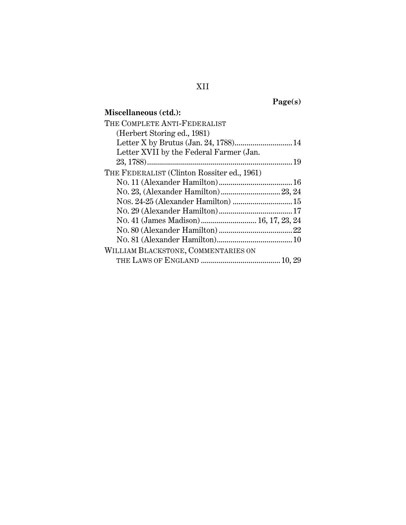**Page(s)**

# **Miscellaneous (ctd.):**

| THE COMPLETE ANTI-FEDERALIST                |  |
|---------------------------------------------|--|
| (Herbert Storing ed., 1981)                 |  |
| Letter X by Brutus (Jan. 24, 1788) 14       |  |
| Letter XVII by the Federal Farmer (Jan.     |  |
|                                             |  |
| THE FEDERALIST (Clinton Rossiter ed., 1961) |  |
|                                             |  |
|                                             |  |
| Nos. 24-25 (Alexander Hamilton)  15         |  |
|                                             |  |
| No. 41 (James Madison) 16, 17, 23, 24       |  |
|                                             |  |
|                                             |  |
| WILLIAM BLACKSTONE, COMMENTARIES ON         |  |
|                                             |  |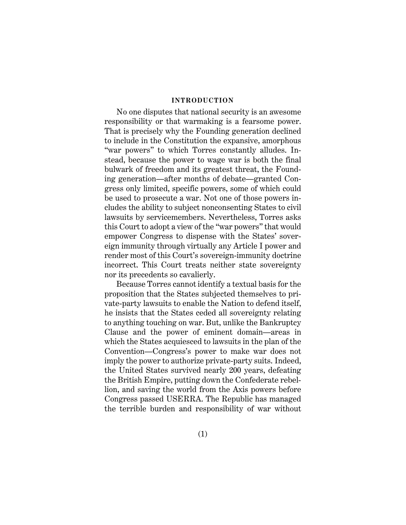#### **INTRODUCTION**

<span id="page-13-0"></span>No one disputes that national security is an awesome responsibility or that warmaking is a fearsome power. That is precisely why the Founding generation declined to include in the Constitution the expansive, amorphous "war powers" to which Torres constantly alludes. Instead, because the power to wage war is both the final bulwark of freedom and its greatest threat, the Founding generation—after months of debate—granted Congress only limited, specific powers, some of which could be used to prosecute a war. Not one of those powers includes the ability to subject nonconsenting States to civil lawsuits by servicemembers. Nevertheless, Torres asks this Court to adopt a view of the "war powers" that would empower Congress to dispense with the States' sovereign immunity through virtually any Article I power and render most of this Court's sovereign-immunity doctrine incorrect. This Court treats neither state sovereignty nor its precedents so cavalierly.

Because Torres cannot identify a textual basis for the proposition that the States subjected themselves to private-party lawsuits to enable the Nation to defend itself, he insists that the States ceded all sovereignty relating to anything touching on war. But, unlike the Bankruptcy Clause and the power of eminent domain—areas in which the States acquiesced to lawsuits in the plan of the Convention—Congress's power to make war does not imply the power to authorize private-party suits. Indeed, the United States survived nearly 200 years, defeating the British Empire, putting down the Confederate rebellion, and saving the world from the Axis powers before Congress passed USERRA. The Republic has managed the terrible burden and responsibility of war without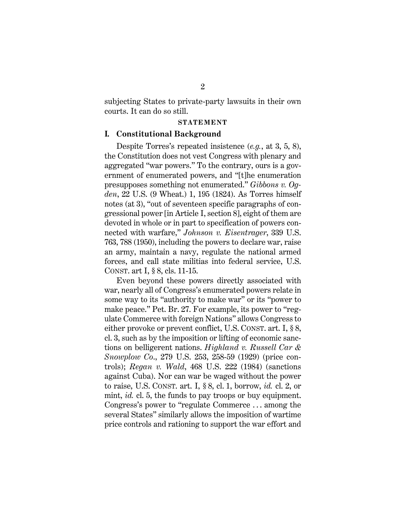subjecting States to private-party lawsuits in their own courts. It can do so still.

#### <span id="page-14-11"></span><span id="page-14-6"></span><span id="page-14-2"></span>**STATEMENT**

#### <span id="page-14-1"></span><span id="page-14-0"></span>**I. Constitutional Background**

Despite Torres's repeated insistence (*e.g.*, at 3, 5, 8), the Constitution does not vest Congress with plenary and aggregated "war powers." To the contrary, ours is a government of enumerated powers, and "[t]he enumeration presupposes something not enumerated." *Gibbons v. Ogden*, 22 U.S. (9 Wheat.) 1, 195 (1824). As Torres himself notes (at 3), "out of seventeen specific paragraphs of congressional power [in Article I, section 8], eight of them are devoted in whole or in part to specification of powers connected with warfare," *Johnson v. Eisentrager*, 339 U.S. 763, 788 (1950), including the powers to declare war, raise an army, maintain a navy, regulate the national armed forces, and call state militias into federal service, U.S. CONST. art I, § 8, cls. 11-15.

<span id="page-14-10"></span><span id="page-14-9"></span><span id="page-14-8"></span><span id="page-14-7"></span><span id="page-14-5"></span><span id="page-14-4"></span><span id="page-14-3"></span>Even beyond these powers directly associated with war, nearly all of Congress's enumerated powers relate in some way to its "authority to make war" or its "power to make peace." Pet. Br. 27. For example, its power to "regulate Commerce with foreign Nations" allows Congress to either provoke or prevent conflict, U.S. CONST. art. I, § 8, cl. 3, such as by the imposition or lifting of economic sanctions on belligerent nations. *Highland v. Russell Car & Snowplow Co*., 279 U.S. 253, 258-59 (1929) (price controls); *Regan v. Wald*, 468 U.S. 222 (1984) (sanctions against Cuba). Nor can war be waged without the power to raise, U.S. CONST. art. I, § 8, cl. 1, borrow, *id.* cl. 2, or mint, *id.* cl. 5, the funds to pay troops or buy equipment. Congress's power to "regulate Commerce . . . among the several States" similarly allows the imposition of wartime price controls and rationing to support the war effort and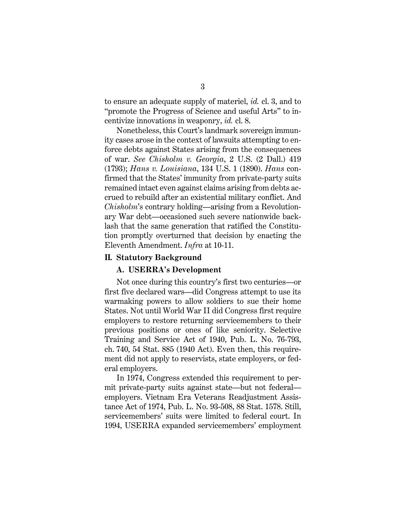to ensure an adequate supply of materiel, *id.* cl. 3, and to "promote the Progress of Science and useful Arts" to incentivize innovations in weaponry, *id.* cl. 8.

<span id="page-15-4"></span><span id="page-15-3"></span><span id="page-15-2"></span>Nonetheless, this Court's landmark sovereign immunity cases arose in the context of lawsuits attempting to enforce debts against States arising from the consequences of war. *See Chisholm v. Georgia*, 2 U.S. (2 Dall.) 419 (1793); *Hans v. Louisiana*, 134 U.S. 1 (1890). *Hans* confirmed that the States' immunity from private-party suits remained intact even against claims arising from debts accrued to rebuild after an existential military conflict. And *Chisholm*'s contrary holding—arising from a Revolutionary War debt—occasioned such severe nationwide backlash that the same generation that ratified the Constitution promptly overturned that decision by enacting the Eleventh Amendment. *Infra* at 10-11.

#### <span id="page-15-1"></span><span id="page-15-0"></span>**II. Statutory Background**

#### <span id="page-15-5"></span>**A. USERRA's Development**

Not once during this country's first two centuries—or first five declared wars—did Congress attempt to use its warmaking powers to allow soldiers to sue their home States. Not until World War II did Congress first require employers to restore returning servicemembers to their previous positions or ones of like seniority. Selective Training and Service Act of 1940, Pub. L. No. 76-793, ch. 740, 54 Stat. 885 (1940 Act). Even then, this requirement did not apply to reservists, state employers, or federal employers.

<span id="page-15-6"></span>In 1974, Congress extended this requirement to permit private-party suits against state—but not federal employers. Vietnam Era Veterans Readjustment Assistance Act of 1974, Pub. L. No. 93-508, 88 Stat. 1578. Still, servicemembers' suits were limited to federal court. In 1994, USERRA expanded servicemembers' employment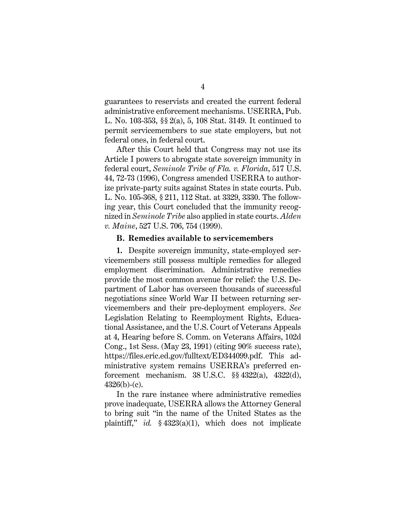guarantees to reservists and created the current federal administrative enforcement mechanisms. USERRA, Pub. L. No. 103-353, §§ 2(a), 5, 108 Stat. 3149. It continued to permit servicemembers to sue state employers, but not federal ones, in federal court.

After this Court held that Congress may not use its Article I powers to abrogate state sovereign immunity in federal court, *Seminole Tribe of Fla. v. Florida*, 517 U.S. 44, 72-73 (1996), Congress amended USERRA to authorize private-party suits against States in state courts. Pub. L. No. 105-368, § 211, 112 Stat. at 3329, 3330. The following year, this Court concluded that the immunity recognized in *Seminole Tribe* also applied in state courts. *Alden v. Maine*, 527 U.S. 706, 754 (1999).

#### <span id="page-16-0"></span>**B. Remedies available to servicemembers**

<span id="page-16-3"></span>**1.** Despite sovereign immunity, state-employed servicemembers still possess multiple remedies for alleged employment discrimination. Administrative remedies provide the most common avenue for relief: the U.S. Department of Labor has overseen thousands of successful negotiations since World War II between returning servicemembers and their pre-deployment employers. *See*  Legislation Relating to Reemployment Rights, Educational Assistance, and the U.S. Court of Veterans Appeals at 4, Hearing before S. Comm. on Veterans Affairs, 102d Cong., 1st Sess. (May 23, 1991) (citing 90% success rate), https://files.eric.ed.gov/fulltext/ED344099.pdf. This administrative system remains USERRA's preferred enforcement mechanism. 38 U.S.C. §§ 4322(a), 4322(d),  $4326(b)-(c)$ .

<span id="page-16-2"></span><span id="page-16-1"></span>In the rare instance where administrative remedies prove inadequate, USERRA allows the Attorney General to bring suit "in the name of the United States as the plaintiff," *id.* § 4323(a)(1), which does not implicate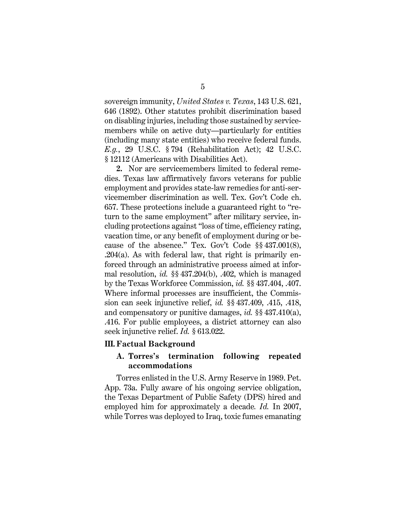<span id="page-17-2"></span>sovereign immunity, *United States v. Texas*, 143 U.S. 621, 646 (1892). Other statutes prohibit discrimination based on disabling injuries, including those sustained by servicemembers while on active duty—particularly for entities (including many state entities) who receive federal funds. *E.g.*, 29 U.S.C. § 794 (Rehabilitation Act); 42 U.S.C. § 12112 (Americans with Disabilities Act).

<span id="page-17-16"></span><span id="page-17-5"></span><span id="page-17-4"></span><span id="page-17-3"></span>**2.** Nor are servicemembers limited to federal remedies. Texas law affirmatively favors veterans for public employment and provides state-law remedies for anti-servicemember discrimination as well. Tex. Gov't Code ch. 657. These protections include a guaranteed right to "return to the same employment" after military service, including protections against "loss of time, efficiency rating, vacation time, or any benefit of employment during or because of the absence." Tex. Gov't Code §§ 437.001(8), .204(a). As with federal law, that right is primarily enforced through an administrative process aimed at informal resolution, *id.* §§ 437.204(b), .402, which is managed by the Texas Workforce Commission, *id.* §§ 437.404, .407. Where informal processes are insufficient, the Commission can seek injunctive relief, *id.* §§ 437.409, .415, .418, and compensatory or punitive damages, *id.* §§ 437.410(a), .416. For public employees, a district attorney can also seek injunctive relief. *Id.* § 613.022.

#### <span id="page-17-13"></span><span id="page-17-6"></span><span id="page-17-1"></span><span id="page-17-0"></span>**III. Factual Background**

## <span id="page-17-15"></span><span id="page-17-14"></span><span id="page-17-12"></span><span id="page-17-11"></span><span id="page-17-10"></span><span id="page-17-9"></span><span id="page-17-8"></span><span id="page-17-7"></span>**A. Torres's termination following repeated accommodations**

Torres enlisted in the U.S. Army Reserve in 1989. Pet. App. 73a. Fully aware of his ongoing service obligation, the Texas Department of Public Safety (DPS) hired and employed him for approximately a decade*. Id.* In 2007, while Torres was deployed to Iraq, toxic fumes emanating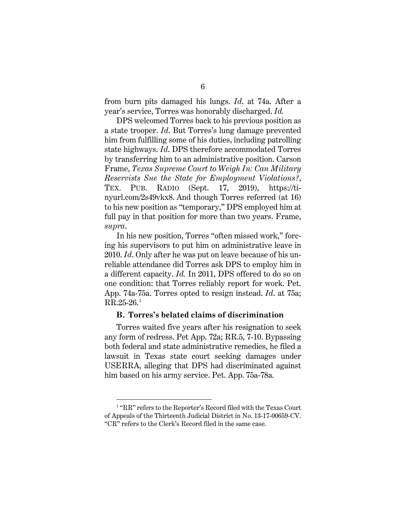from burn pits damaged his lungs. *Id*. at 74a. After a year's service, Torres was honorably discharged. *Id.* 

<span id="page-18-1"></span>DPS welcomed Torres back to his previous position as a state trooper. *Id*. But Torres's lung damage prevented him from fulfilling some of his duties, including patrolling state highways. *Id*. DPS therefore accommodated Torres by transferring him to an administrative position. Carson Frame, *Texas Supreme Court to Weigh In: Can Military Reservists Sue the State for Employment Violations?*, TEX. PUB. RADIO (Sept. 17, 2019), https://tinyurl.com/2s49vkx8. And though Torres referred (at 16) to his new position as "temporary," DPS employed him at full pay in that position for more than two years. Frame, *supra*.

In his new position, Torres "often missed work," forcing his supervisors to put him on administrative leave in 2010. *Id*. Only after he was put on leave because of his unreliable attendance did Torres ask DPS to employ him in a different capacity. *Id.* In 2011, DPS offered to do so on one condition: that Torres reliably report for work. Pet. App. 74a-75a. Torres opted to resign instead. *Id*. at 75a;  $RR.25-26.<sup>1</sup>$  $RR.25-26.<sup>1</sup>$  $RR.25-26.<sup>1</sup>$ 

#### <span id="page-18-0"></span>**B. Torres's belated claims of discrimination**

Torres waited five years after his resignation to seek any form of redress. Pet App. 72a; RR.5, 7-10. Bypassing both federal and state administrative remedies, he filed a lawsuit in Texas state court seeking damages under USERRA, alleging that DPS had discriminated against him based on his army service. Pet. App. 75a-78a.

<span id="page-18-2"></span><sup>&</sup>lt;sup>1</sup> "RR" refers to the Reporter's Record filed with the Texas Court of Appeals of the Thirteenth Judicial District in No. 13-17-00659-CV. "CR" refers to the Clerk's Record filed in the same case.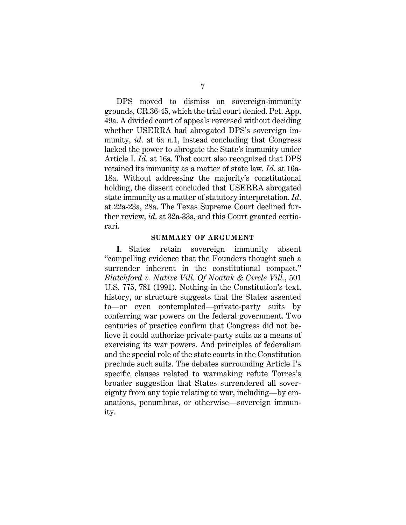DPS moved to dismiss on sovereign-immunity grounds, CR.36-45, which the trial court denied. Pet. App. 49a. A divided court of appeals reversed without deciding whether USERRA had abrogated DPS's sovereign immunity, *id*. at 6a n.1, instead concluding that Congress lacked the power to abrogate the State's immunity under Article I. *Id*. at 16a. That court also recognized that DPS retained its immunity as a matter of state law. *Id*. at 16a-18a. Without addressing the majority's constitutional holding, the dissent concluded that USERRA abrogated state immunity as a matter of statutory interpretation. *Id*. at 22a-23a, 28a. The Texas Supreme Court declined further review, *id*. at 32a-33a, and this Court granted certiorari.

#### **SUMMARY OF ARGUMENT**

<span id="page-19-0"></span>**I**. States retain sovereign immunity absent "compelling evidence that the Founders thought such a surrender inherent in the constitutional compact." *Blatchford v. Native Vill. Of Noatak & Circle Vill.*, 501 U.S. 775, 781 (1991). Nothing in the Constitution's text, history, or structure suggests that the States assented to—or even contemplated—private-party suits by conferring war powers on the federal government. Two centuries of practice confirm that Congress did not believe it could authorize private-party suits as a means of exercising its war powers. And principles of federalism and the special role of the state courts in the Constitution preclude such suits. The debates surrounding Article I's specific clauses related to warmaking refute Torres's broader suggestion that States surrendered all sovereignty from any topic relating to war, including—by emanations, penumbras, or otherwise—sovereign immunity.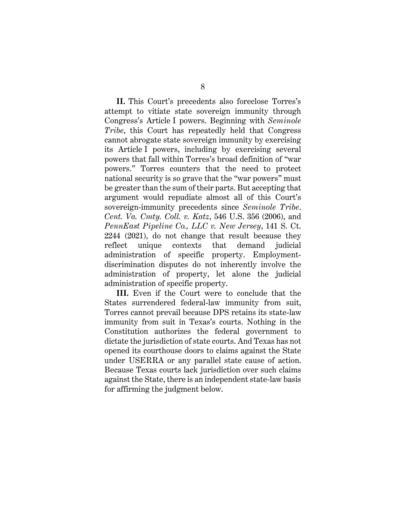**II.** This Court's precedents also foreclose Torres's attempt to vitiate state sovereign immunity through Congress's Article I powers. Beginning with *Seminole Tribe*, this Court has repeatedly held that Congress cannot abrogate state sovereign immunity by exercising its Article I powers, including by exercising several powers that fall within Torres's broad definition of "war powers." Torres counters that the need to protect national security is so grave that the "war powers" must be greater than the sum of their parts. But accepting that argument would repudiate almost all of this Court's sovereign-immunity precedents since *Seminole Tribe*. *Cent. Va. Cmty. Coll. v. Katz*, 546 U.S. 356 (2006), and *PennEast Pipeline Co., LLC v. New Jersey*, 141 S. Ct. 2244 (2021), do not change that result because they reflect unique contexts that demand judicial administration of specific property. Employmentdiscrimination disputes do not inherently involve the administration of property, let alone the judicial administration of specific property.

**III.** Even if the Court were to conclude that the States surrendered federal-law immunity from suit, Torres cannot prevail because DPS retains its state-law immunity from suit in Texas's courts. Nothing in the Constitution authorizes the federal government to dictate the jurisdiction of state courts. And Texas has not opened its courthouse doors to claims against the State under USERRA or any parallel state cause of action. Because Texas courts lack jurisdiction over such claims against the State, there is an independent state-law basis for affirming the judgment below.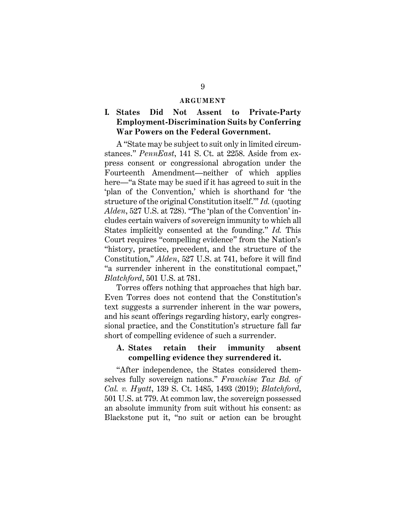#### **ARGUMENT**

# <span id="page-21-1"></span><span id="page-21-0"></span>**I. States Did Not Assent to Private-Party Employment-Discrimination Suits by Conferring War Powers on the Federal Government.**

<span id="page-21-4"></span>A "State may be subject to suit only in limited circumstances." *PennEast*, 141 S. Ct. at 2258. Aside from express consent or congressional abrogation under the Fourteenth Amendment—neither of which applies here—"a State may be sued if it has agreed to suit in the 'plan of the Convention,' which is shorthand for 'the structure of the original Constitution itself.'" *Id.* (quoting *Alden*, 527 U.S. at 728). "The 'plan of the Convention' includes certain waivers of sovereign immunity to which all States implicitly consented at the founding." *Id.* This Court requires "compelling evidence" from the Nation's "history, practice, precedent, and the structure of the Constitution," *Alden*, 527 U.S. at 741, before it will find "a surrender inherent in the constitutional compact," *Blatchford*, 501 U.S. at 781.

Torres offers nothing that approaches that high bar. Even Torres does not contend that the Constitution's text suggests a surrender inherent in the war powers, and his scant offerings regarding history, early congressional practice, and the Constitution's structure fall far short of compelling evidence of such a surrender.

## <span id="page-21-3"></span><span id="page-21-2"></span>**A. States retain their immunity absent compelling evidence they surrendered it.**

"After independence, the States considered themselves fully sovereign nations." *Franchise Tax Bd. of Cal. v. Hyatt*, 139 S. Ct. 1485, 1493 (2019); *Blatchford*, 501 U.S. at 779. At common law, the sovereign possessed an absolute immunity from suit without his consent: as Blackstone put it, "no suit or action can be brought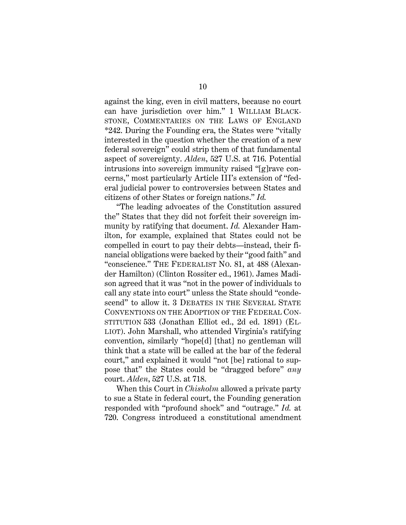<span id="page-22-2"></span>against the king, even in civil matters, because no court can have jurisdiction over him." 1 WILLIAM BLACK-STONE, COMMENTARIES ON THE LAWS OF ENGLAND \*242. During the Founding era, the States were "vitally interested in the question whether the creation of a new federal sovereign" could strip them of that fundamental aspect of sovereignty. *Alden*, 527 U.S. at 716. Potential intrusions into sovereign immunity raised "[g]rave concerns," most particularly Article III's extension of "federal judicial power to controversies between States and citizens of other States or foreign nations." *Id.* 

<span id="page-22-1"></span>"The leading advocates of the Constitution assured the" States that they did not forfeit their sovereign immunity by ratifying that document. *Id.* Alexander Hamilton, for example, explained that States could not be compelled in court to pay their debts—instead, their financial obligations were backed by their "good faith" and "conscience." THE FEDERALIST NO. 81, at 488 (Alexander Hamilton) (Clinton Rossiter ed., 1961). James Madison agreed that it was "not in the power of individuals to call any state into court" unless the State should "condescend" to allow it. 3 DEBATES IN THE SEVERAL STATE CONVENTIONS ON THE ADOPTION OF THE FEDERAL CON-STITUTION 533 (Jonathan Elliot ed., 2d ed. 1891) (EL-LIOT). John Marshall, who attended Virginia's ratifying convention, similarly "hope[d] [that] no gentleman will think that a state will be called at the bar of the federal court," and explained it would "not [be] rational to suppose that" the States could be "dragged before" *any*  court. *Alden*, 527 U.S. at 718.

<span id="page-22-0"></span>When this Court in *Chisholm* allowed a private party to sue a State in federal court, the Founding generation responded with "profound shock" and "outrage." *Id.* at 720. Congress introduced a constitutional amendment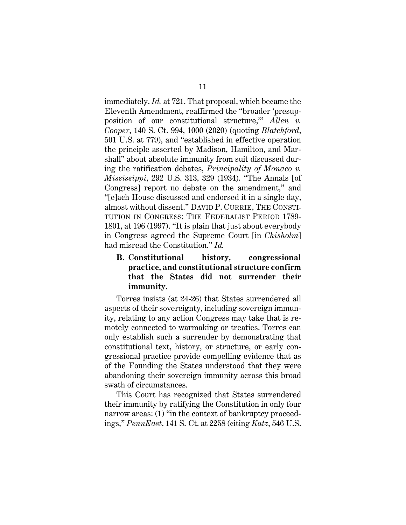<span id="page-23-2"></span>immediately. *Id.* at 721. That proposal, which became the Eleventh Amendment, reaffirmed the "broader 'presupposition of our constitutional structure,'" *Allen v. Cooper*, 140 S. Ct. 994, 1000 (2020) (quoting *Blatchford*, 501 U.S. at 779), and "established in effective operation the principle asserted by Madison, Hamilton, and Marshall" about absolute immunity from suit discussed during the ratification debates, *Principality of Monaco v. Mississippi*, 292 U.S. 313, 329 (1934). "The Annals [of Congress] report no debate on the amendment," and "[e]ach House discussed and endorsed it in a single day, almost without dissent." DAVID P. CURRIE, THE CONSTI-TUTION IN CONGRESS: THE FEDERALIST PERIOD 1789- 1801, at 196 (1997). "It is plain that just about everybody in Congress agreed the Supreme Court [in *Chisholm*] had misread the Constitution." *Id.*

# <span id="page-23-3"></span><span id="page-23-1"></span><span id="page-23-0"></span>**B. Constitutional history, congressional practice, and constitutional structure confirm that the States did not surrender their immunity.**

Torres insists (at 24-26) that States surrendered all aspects of their sovereignty, including sovereign immunity, relating to any action Congress may take that is remotely connected to warmaking or treaties. Torres can only establish such a surrender by demonstrating that constitutional text, history, or structure, or early congressional practice provide compelling evidence that as of the Founding the States understood that they were abandoning their sovereign immunity across this broad swath of circumstances.

This Court has recognized that States surrendered their immunity by ratifying the Constitution in only four narrow areas: (1) "in the context of bankruptcy proceedings," *PennEast*, 141 S. Ct. at 2258 (citing *Katz*, 546 U.S.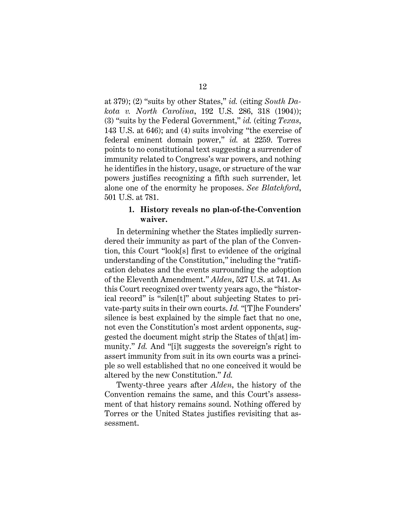<span id="page-24-2"></span><span id="page-24-1"></span>at 379); (2) "suits by other States," *id.* (citing *South Dakota v. North Carolina*, 192 U.S. 286, 318 (1904)); (3) "suits by the Federal Government," *id.* (citing *Texas*, 143 U.S. at 646); and (4) suits involving "the exercise of federal eminent domain power," *id.* at 2259. Torres points to no constitutional text suggesting a surrender of immunity related to Congress's war powers, and nothing he identifies in the history, usage, or structure of the war powers justifies recognizing a fifth such surrender, let alone one of the enormity he proposes. *See Blatchford*, 501 U.S. at 781.

## <span id="page-24-0"></span>**1. History reveals no plan-of-the-Convention waiver.**

In determining whether the States impliedly surrendered their immunity as part of the plan of the Convention, this Court "look[s] first to evidence of the original understanding of the Constitution," including the "ratification debates and the events surrounding the adoption of the Eleventh Amendment." *Alden*, 527 U.S. at 741. As this Court recognized over twenty years ago, the "historical record" is "silen[t]" about subjecting States to private-party suits in their own courts. *Id.* "[T]he Founders' silence is best explained by the simple fact that no one, not even the Constitution's most ardent opponents, suggested the document might strip the States of th[at] immunity." *Id.* And "[i]t suggests the sovereign's right to assert immunity from suit in its own courts was a principle so well established that no one conceived it would be altered by the new Constitution." *Id.*

Twenty-three years after *Alden*, the history of the Convention remains the same, and this Court's assessment of that history remains sound. Nothing offered by Torres or the United States justifies revisiting that assessment.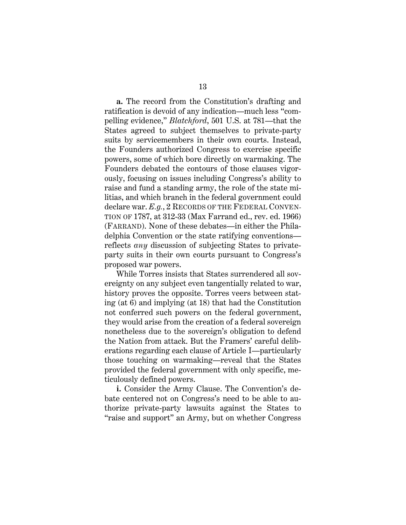**a.** The record from the Constitution's drafting and ratification is devoid of any indication—much less "compelling evidence," *Blatchford*, 501 U.S. at 781—that the States agreed to subject themselves to private-party suits by servicemembers in their own courts. Instead, the Founders authorized Congress to exercise specific powers, some of which bore directly on warmaking. The Founders debated the contours of those clauses vigorously, focusing on issues including Congress's ability to raise and fund a standing army, the role of the state militias, and which branch in the federal government could declare war. *E.g.*, 2 RECORDS OF THE FEDERAL CONVEN-TION OF 1787, at 312-33 (Max Farrand ed., rev. ed. 1966) (FARRAND). None of these debates—in either the Philadelphia Convention or the state ratifying conventions reflects *any* discussion of subjecting States to privateparty suits in their own courts pursuant to Congress's proposed war powers.

While Torres insists that States surrendered all sovereignty on any subject even tangentially related to war, history proves the opposite. Torres veers between stating (at 6) and implying (at 18) that had the Constitution not conferred such powers on the federal government, they would arise from the creation of a federal sovereign nonetheless due to the sovereign's obligation to defend the Nation from attack. But the Framers' careful deliberations regarding each clause of Article I—particularly those touching on warmaking—reveal that the States provided the federal government with only specific, meticulously defined powers.

**i.** Consider the Army Clause. The Convention's debate centered not on Congress's need to be able to authorize private-party lawsuits against the States to "raise and support" an Army, but on whether Congress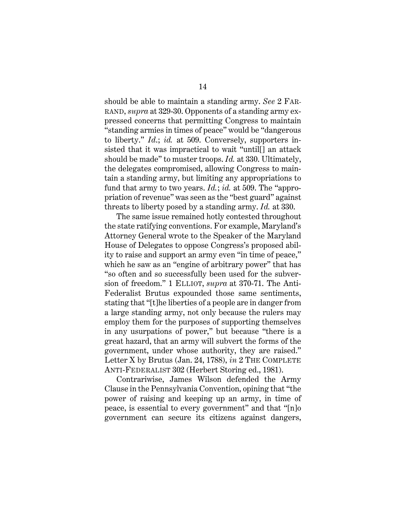should be able to maintain a standing army. *See* 2 FAR-RAND, *supra* at 329-30. Opponents of a standing army expressed concerns that permitting Congress to maintain "standing armies in times of peace" would be "dangerous to liberty." *Id*.; *id.* at 509. Conversely, supporters insisted that it was impractical to wait "until[] an attack should be made" to muster troops. *Id.* at 330. Ultimately, the delegates compromised, allowing Congress to maintain a standing army, but limiting any appropriations to fund that army to two years. *Id.*; *id.* at 509. The "appropriation of revenue" was seen as the "best guard" against threats to liberty posed by a standing army. *Id.* at 330.

The same issue remained hotly contested throughout the state ratifying conventions. For example, Maryland's Attorney General wrote to the Speaker of the Maryland House of Delegates to oppose Congress's proposed ability to raise and support an army even "in time of peace," which he saw as an "engine of arbitrary power" that has "so often and so successfully been used for the subversion of freedom." 1 ELLIOT, *supra* at 370-71. The Anti-Federalist Brutus expounded those same sentiments, stating that "[t]he liberties of a people are in danger from a large standing army, not only because the rulers may employ them for the purposes of supporting themselves in any usurpations of power," but because "there is a great hazard, that an army will subvert the forms of the government, under whose authority, they are raised." Letter X by Brutus (Jan. 24, 1788), *in* 2 THE COMPLETE ANTI-FEDERALIST 302 (Herbert Storing ed., 1981).

<span id="page-26-0"></span>Contrariwise, James Wilson defended the Army Clause in the Pennsylvania Convention, opining that "the power of raising and keeping up an army, in time of peace, is essential to every government" and that "[n]o government can secure its citizens against dangers,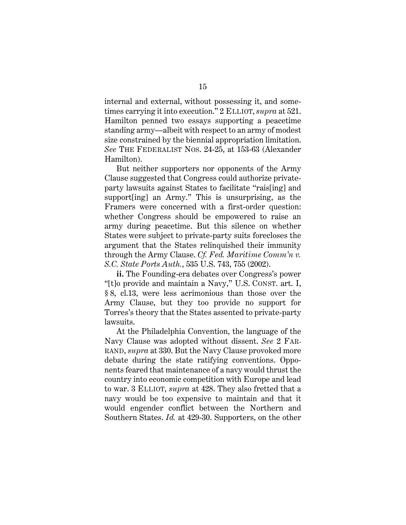internal and external, without possessing it, and sometimes carrying it into execution." 2 ELLIOT, *supra* at 521. Hamilton penned two essays supporting a peacetime standing army—albeit with respect to an army of modest size constrained by the biennial appropriation limitation. *See* THE FEDERALIST NOS. 24-25, at 153-63 (Alexander Hamilton).

<span id="page-27-2"></span>But neither supporters nor opponents of the Army Clause suggested that Congress could authorize privateparty lawsuits against States to facilitate "rais[ing] and support[ing] an Army." This is unsurprising, as the Framers were concerned with a first-order question: whether Congress should be empowered to raise an army during peacetime. But this silence on whether States were subject to private-party suits forecloses the argument that the States relinquished their immunity through the Army Clause. *Cf. Fed. Maritime Comm'n v. S.C. State Ports Auth.*, 535 U.S. 743, 755 (2002).

<span id="page-27-1"></span><span id="page-27-0"></span>**ii.** The Founding-era debates over Congress's power "[t]o provide and maintain a Navy," U.S. CONST. art. I, § 8, cl.13, were less acrimonious than those over the Army Clause, but they too provide no support for Torres's theory that the States assented to private-party lawsuits.

At the Philadelphia Convention, the language of the Navy Clause was adopted without dissent. *See* 2 FAR-RAND, *supra* at 330. But the Navy Clause provoked more debate during the state ratifying conventions. Opponents feared that maintenance of a navy would thrust the country into economic competition with Europe and lead to war. 3 ELLIOT, *supra* at 428. They also fretted that a navy would be too expensive to maintain and that it would engender conflict between the Northern and Southern States. *Id.* at 429-30. Supporters, on the other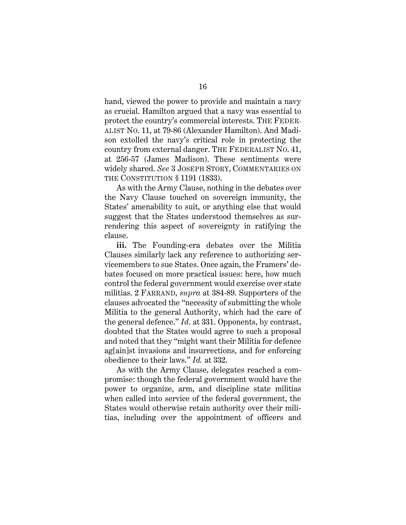<span id="page-28-1"></span>hand, viewed the power to provide and maintain a navy as crucial. Hamilton argued that a navy was essential to protect the country's commercial interests. THE FEDER-ALIST NO. 11, at 79-86 (Alexander Hamilton). And Madison extolled the navy's critical role in protecting the country from external danger. THE FEDERALIST NO. 41, at 256-57 (James Madison). These sentiments were widely shared. *See* 3 JOSEPH STORY, COMMENTARIES ON THE CONSTITUTION § 1191 (1833).

<span id="page-28-2"></span><span id="page-28-0"></span>As with the Army Clause, nothing in the debates over the Navy Clause touched on sovereign immunity, the States' amenability to suit, or anything else that would suggest that the States understood themselves as surrendering this aspect of sovereignty in ratifying the clause.

**iii.** The Founding-era debates over the Militia Clauses similarly lack any reference to authorizing servicemembers to sue States. Once again, the Framers' debates focused on more practical issues: here, how much control the federal government would exercise over state militias. 2 FARRAND, *supra* at 384-89. Supporters of the clauses advocated the "necessity of submitting the whole Militia to the general Authority, which had the care of the general defence." *Id*. at 331. Opponents, by contrast, doubted that the States would agree to such a proposal and noted that they "might want their Militia for defence ag[ain]st invasions and insurrections, and for enforcing obedience to their laws." *Id.* at 332.

As with the Army Clause, delegates reached a compromise: though the federal government would have the power to organize, arm, and discipline state militias when called into service of the federal government, the States would otherwise retain authority over their militias, including over the appointment of officers and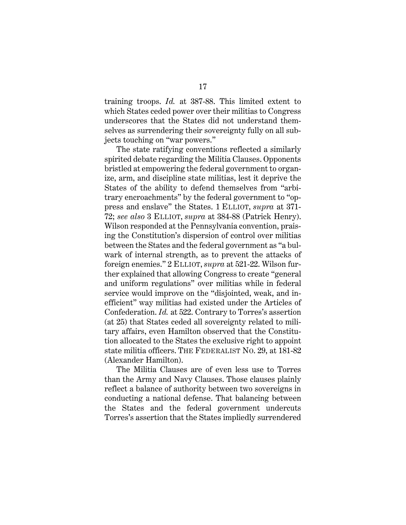<span id="page-29-1"></span>training troops. *Id.* at 387-88. This limited extent to which States ceded power over their militias to Congress underscores that the States did not understand themselves as surrendering their sovereignty fully on all subjects touching on "war powers."

The state ratifying conventions reflected a similarly spirited debate regarding the Militia Clauses. Opponents bristled at empowering the federal government to organize, arm, and discipline state militias, lest it deprive the States of the ability to defend themselves from "arbitrary encroachments" by the federal government to "oppress and enslave" the States. 1 ELLIOT, *supra* at 371- 72; *see also* 3 ELLIOT, *supra* at 384-88 (Patrick Henry). Wilson responded at the Pennsylvania convention, praising the Constitution's dispersion of control over militias between the States and the federal government as "a bulwark of internal strength, as to prevent the attacks of foreign enemies." 2 ELLIOT, *supra* at 521-22. Wilson further explained that allowing Congress to create "general and uniform regulations" over militias while in federal service would improve on the "disjointed, weak, and inefficient" way militias had existed under the Articles of Confederation. *Id.* at 522. Contrary to Torres's assertion (at 25) that States ceded all sovereignty related to military affairs, even Hamilton observed that the Constitution allocated to the States the exclusive right to appoint state militia officers. THE FEDERALIST NO. 29, at 181-82 (Alexander Hamilton).

<span id="page-29-0"></span>The Militia Clauses are of even less use to Torres than the Army and Navy Clauses. Those clauses plainly reflect a balance of authority between two sovereigns in conducting a national defense. That balancing between the States and the federal government undercuts Torres's assertion that the States impliedly surrendered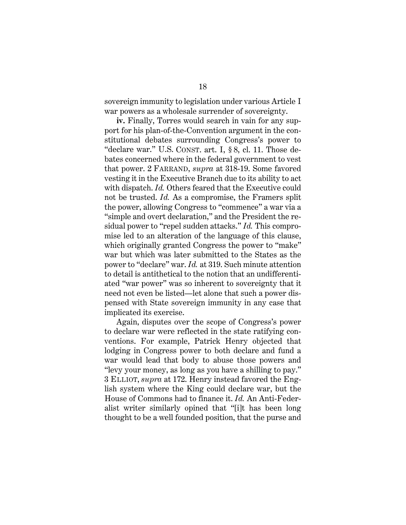sovereign immunity to legislation under various Article I war powers as a wholesale surrender of sovereignty.

<span id="page-30-0"></span>**iv.** Finally, Torres would search in vain for any support for his plan-of-the-Convention argument in the constitutional debates surrounding Congress's power to "declare war." U.S. CONST. art. I, § 8, cl. 11. Those debates concerned where in the federal government to vest that power. 2 FARRAND, *supra* at 318-19. Some favored vesting it in the Executive Branch due to its ability to act with dispatch. *Id.* Others feared that the Executive could not be trusted. *Id.* As a compromise, the Framers split the power, allowing Congress to "commence" a war via a "simple and overt declaration," and the President the residual power to "repel sudden attacks." *Id.* This compromise led to an alteration of the language of this clause, which originally granted Congress the power to "make" war but which was later submitted to the States as the power to "declare" war. *Id.* at 319. Such minute attention to detail is antithetical to the notion that an undifferentiated "war power" was so inherent to sovereignty that it need not even be listed—let alone that such a power dispensed with State sovereign immunity in any case that implicated its exercise.

Again, disputes over the scope of Congress's power to declare war were reflected in the state ratifying conventions. For example, Patrick Henry objected that lodging in Congress power to both declare and fund a war would lead that body to abuse those powers and "levy your money, as long as you have a shilling to pay." 3 ELLIOT, *supra* at 172. Henry instead favored the English system where the King could declare war, but the House of Commons had to finance it. *Id.* An Anti-Federalist writer similarly opined that "[i]t has been long thought to be a well founded position, that the purse and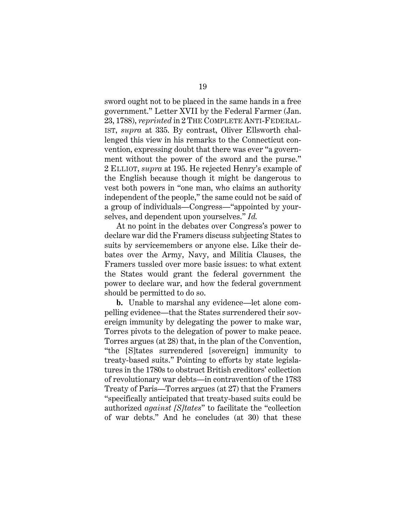<span id="page-31-0"></span>sword ought not to be placed in the same hands in a free government." Letter XVII by the Federal Farmer (Jan. 23, 1788), *reprinted* in 2 THE COMPLETE ANTI-FEDERAL-IST, *supra* at 335. By contrast, Oliver Ellsworth challenged this view in his remarks to the Connecticut convention, expressing doubt that there was ever "a government without the power of the sword and the purse." 2 ELLIOT, *supra* at 195. He rejected Henry's example of the English because though it might be dangerous to vest both powers in "one man, who claims an authority independent of the people," the same could not be said of a group of individuals—Congress—"appointed by yourselves, and dependent upon yourselves." *Id.*

At no point in the debates over Congress's power to declare war did the Framers discuss subjecting States to suits by servicemembers or anyone else. Like their debates over the Army, Navy, and Militia Clauses, the Framers tussled over more basic issues: to what extent the States would grant the federal government the power to declare war, and how the federal government should be permitted to do so.

**b.** Unable to marshal any evidence—let alone compelling evidence—that the States surrendered their sovereign immunity by delegating the power to make war, Torres pivots to the delegation of power to make peace. Torres argues (at 28) that, in the plan of the Convention, "the [S]tates surrendered [sovereign] immunity to treaty-based suits." Pointing to efforts by state legislatures in the 1780s to obstruct British creditors' collection of revolutionary war debts—in contravention of the 1783 Treaty of Paris—Torres argues (at 27) that the Framers "specifically anticipated that treaty-based suits could be authorized *against [S]tates*" to facilitate the "collection of war debts." And he concludes (at 30) that these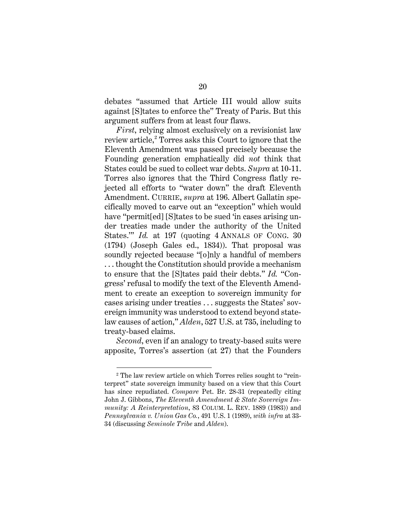debates "assumed that Article III would allow suits against [S]tates to enforce the" Treaty of Paris. But this argument suffers from at least four flaws.

<span id="page-32-2"></span><span id="page-32-1"></span>*First*, relying almost exclusively on a revisionist law review article,<sup>[2](#page-32-4)</sup> Torres asks this Court to ignore that the Eleventh Amendment was passed precisely because the Founding generation emphatically did *not* think that States could be sued to collect war debts. *Supra* at 10-11. Torres also ignores that the Third Congress flatly rejected all efforts to "water down" the draft Eleventh Amendment. CURRIE, *supra* at 196. Albert Gallatin specifically moved to carve out an "exception" which would have "permit<sup>[ed]</sup> [S]tates to be sued 'in cases arising under treaties made under the authority of the United States." *Id.* at 197 (quoting 4 ANNALS OF CONG. 30) (1794) (Joseph Gales ed., 1834)). That proposal was soundly rejected because "[o]nly a handful of members . . . thought the Constitution should provide a mechanism to ensure that the [S]tates paid their debts." *Id.* "Congress' refusal to modify the text of the Eleventh Amendment to create an exception to sovereign immunity for cases arising under treaties . . . suggests the States' sovereign immunity was understood to extend beyond statelaw causes of action," *Alden*, 527 U.S. at 735, including to treaty-based claims.

*Second*, even if an analogy to treaty-based suits were apposite, Torres's assertion (at 27) that the Founders

<span id="page-32-4"></span><span id="page-32-3"></span><span id="page-32-0"></span><sup>&</sup>lt;sup>2</sup> The law review article on which Torres relies sought to "reinterpret" state sovereign immunity based on a view that this Court has since repudiated. *Compare* Pet. Br. 28-31 (repeatedly citing John J. Gibbons, *The Eleventh Amendment & State Sovereign Immunity: A Reinterpretation*, 83 COLUM. L. REV. 1889 (1983)) and *Pennsylvania v. Union Gas Co.*, 491 U.S. 1 (1989), *with infra* at 33- 34 (discussing *Seminole Tribe* and *Alden*).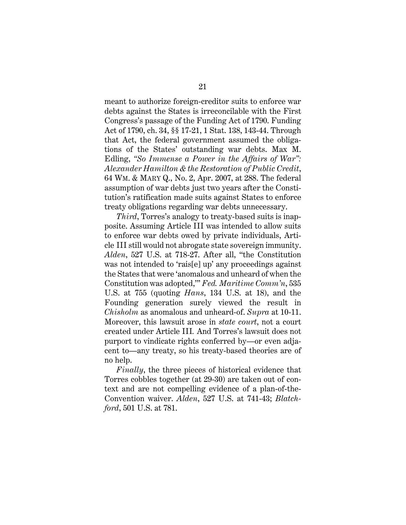<span id="page-33-3"></span>meant to authorize foreign-creditor suits to enforce war debts against the States is irreconcilable with the First Congress's passage of the Funding Act of 1790. Funding Act of 1790, ch. 34, §§ 17-21, 1 Stat. 138, 143-44. Through that Act, the federal government assumed the obligations of the States' outstanding war debts. Max M. Edling, *"So Immense a Power in the Affairs of War": Alexander Hamilton & the Restoration of Public Credit*, 64 WM. & MARY Q., No. 2, Apr. 2007, at 288. The federal assumption of war debts just two years after the Constitution's ratification made suits against States to enforce treaty obligations regarding war debts unnecessary.

<span id="page-33-2"></span><span id="page-33-1"></span>*Third*, Torres's analogy to treaty-based suits is inapposite. Assuming Article III was intended to allow suits to enforce war debts owed by private individuals, Article III still would not abrogate state sovereign immunity. *Alden*, 527 U.S. at 718-27. After all, "the Constitution was not intended to 'rais[e] up' any proceedings against the States that were 'anomalous and unheard of when the Constitution was adopted,'" *Fed. Maritime Comm'n*, 535 U.S. at 755 (quoting *Hans*, 134 U.S. at 18), and the Founding generation surely viewed the result in *Chisholm* as anomalous and unheard-of. *Supra* at 10-11. Moreover, this lawsuit arose in *state court*, not a court created under Article III*.* And Torres's lawsuit does not purport to vindicate rights conferred by—or even adjacent to—any treaty, so his treaty-based theories are of no help.

<span id="page-33-0"></span>*Finally*, the three pieces of historical evidence that Torres cobbles together (at 29-30) are taken out of context and are not compelling evidence of a plan-of-the-Convention waiver. *Alden*, 527 U.S. at 741-43; *Blatchford*, 501 U.S. at 781.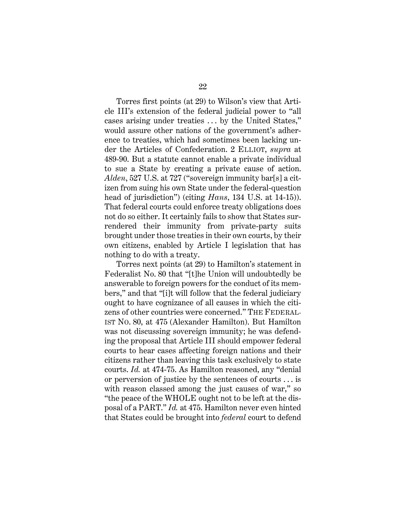Torres first points (at 29) to Wilson's view that Article III's extension of the federal judicial power to "all cases arising under treaties . . . by the United States," would assure other nations of the government's adherence to treaties, which had sometimes been lacking under the Articles of Confederation. 2 ELLIOT, *supra* at 489-90. But a statute cannot enable a private individual to sue a State by creating a private cause of action. *Alden*, 527 U.S. at 727 ("sovereign immunity bar[s] a citizen from suing his own State under the federal-question head of jurisdiction") (citing *Hans*, 134 U.S. at 14-15)). That federal courts could enforce treaty obligations does not do so either. It certainly fails to show that States surrendered their immunity from private-party suits brought under those treaties in their own courts, by their own citizens, enabled by Article I legislation that has nothing to do with a treaty.

<span id="page-34-1"></span><span id="page-34-0"></span>Torres next points (at 29) to Hamilton's statement in Federalist No. 80 that "[t]he Union will undoubtedly be answerable to foreign powers for the conduct of its members," and that "[i]t will follow that the federal judiciary ought to have cognizance of all causes in which the citizens of other countries were concerned." THE FEDERAL-IST NO. 80, at 475 (Alexander Hamilton). But Hamilton was not discussing sovereign immunity; he was defending the proposal that Article III should empower federal courts to hear cases affecting foreign nations and their citizens rather than leaving this task exclusively to state courts. *Id.* at 474-75. As Hamilton reasoned, any "denial or perversion of justice by the sentences of courts . . . is with reason classed among the just causes of war," so "the peace of the WHOLE ought not to be left at the disposal of a PART." *Id.* at 475. Hamilton never even hinted that States could be brought into *federal* court to defend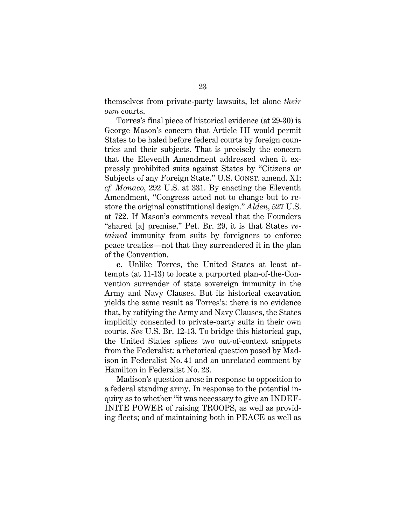themselves from private-party lawsuits, let alone *their own* courts.

<span id="page-35-0"></span>Torres's final piece of historical evidence (at 29-30) is George Mason's concern that Article III would permit States to be haled before federal courts by foreign countries and their subjects. That is precisely the concern that the Eleventh Amendment addressed when it expressly prohibited suits against States by "Citizens or Subjects of any Foreign State." U.S. CONST. amend. XI; *cf. Monaco*, 292 U.S. at 331. By enacting the Eleventh Amendment, "Congress acted not to change but to restore the original constitutional design." *Alden*, 527 U.S. at 722. If Mason's comments reveal that the Founders "shared [a] premise," Pet. Br. 29, it is that States *retained* immunity from suits by foreigners to enforce peace treaties—not that they surrendered it in the plan of the Convention.

**c.** Unlike Torres, the United States at least attempts (at 11-13) to locate a purported plan-of-the-Convention surrender of state sovereign immunity in the Army and Navy Clauses. But its historical excavation yields the same result as Torres's: there is no evidence that, by ratifying the Army and Navy Clauses, the States implicitly consented to private-party suits in their own courts. *See* U.S. Br. 12-13. To bridge this historical gap, the United States splices two out-of-context snippets from the Federalist: a rhetorical question posed by Madison in Federalist No. 41 and an unrelated comment by Hamilton in Federalist No. 23.

Madison's question arose in response to opposition to a federal standing army. In response to the potential inquiry as to whether "it was necessary to give an INDEF-INITE POWER of raising TROOPS, as well as providing fleets; and of maintaining both in PEACE as well as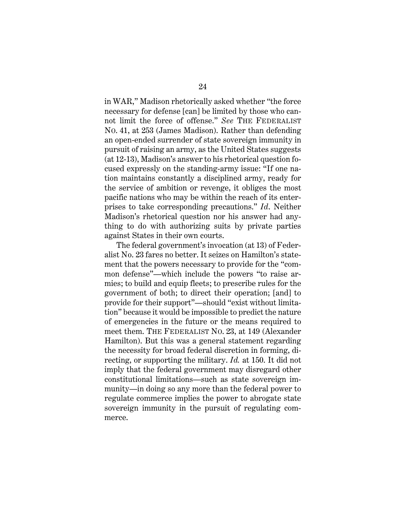<span id="page-36-1"></span>in WAR," Madison rhetorically asked whether "the force necessary for defense [can] be limited by those who cannot limit the force of offense." *See* THE FEDERALIST NO. 41, at 253 (James Madison). Rather than defending an open-ended surrender of state sovereign immunity in pursuit of raising an army, as the United States suggests (at 12-13), Madison's answer to his rhetorical question focused expressly on the standing-army issue: "If one nation maintains constantly a disciplined army, ready for the service of ambition or revenge, it obliges the most pacific nations who may be within the reach of its enterprises to take corresponding precautions." *Id*. Neither Madison's rhetorical question nor his answer had anything to do with authorizing suits by private parties against States in their own courts.

<span id="page-36-0"></span>The federal government's invocation (at 13) of Federalist No. 23 fares no better. It seizes on Hamilton's statement that the powers necessary to provide for the "common defense"—which include the powers "to raise armies; to build and equip fleets; to prescribe rules for the government of both; to direct their operation; [and] to provide for their support"—should "exist without limitation" because it would be impossible to predict the nature of emergencies in the future or the means required to meet them. THE FEDERALIST NO. 23, at 149 (Alexander Hamilton). But this was a general statement regarding the necessity for broad federal discretion in forming, directing, or supporting the military. *Id.* at 150. It did not imply that the federal government may disregard other constitutional limitations—such as state sovereign immunity—in doing so any more than the federal power to regulate commerce implies the power to abrogate state sovereign immunity in the pursuit of regulating commerce.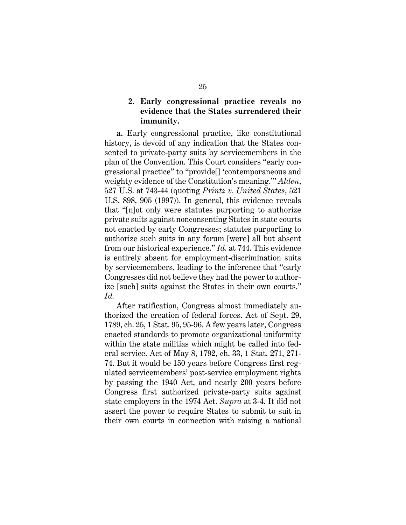# <span id="page-37-0"></span>**2. Early congressional practice reveals no evidence that the States surrendered their immunity.**

<span id="page-37-1"></span>**a.** Early congressional practice, like constitutional history, is devoid of any indication that the States consented to private-party suits by servicemembers in the plan of the Convention. This Court considers "early congressional practice" to "provide[] 'contemporaneous and weighty evidence of the Constitution's meaning.'" *Alden*, 527 U.S. at 743-44 (quoting *Printz v. United States*, 521 U.S. 898, 905 (1997)). In general, this evidence reveals that "[n]ot only were statutes purporting to authorize private suits against nonconsenting States in state courts not enacted by early Congresses; statutes purporting to authorize such suits in any forum [were] all but absent from our historical experience." *Id.* at 744. This evidence is entirely absent for employment-discrimination suits by servicemembers, leading to the inference that "early Congresses did not believe they had the power to authorize [such] suits against the States in their own courts." *Id.*

<span id="page-37-4"></span><span id="page-37-3"></span><span id="page-37-2"></span>After ratification, Congress almost immediately authorized the creation of federal forces. Act of Sept. 29, 1789, ch. 25, 1 Stat. 95, 95-96. A few years later, Congress enacted standards to promote organizational uniformity within the state militias which might be called into federal service. Act of May 8, 1792, ch. 33, 1 Stat. 271, 271- 74. But it would be 150 years before Congress first regulated servicemembers' post-service employment rights by passing the 1940 Act, and nearly 200 years before Congress first authorized private-party suits against state employers in the 1974 Act. *Supra* at 3-4. It did not assert the power to require States to submit to suit in their own courts in connection with raising a national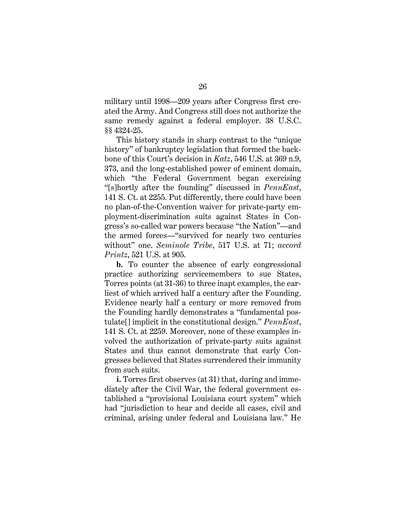<span id="page-38-1"></span>military until 1998—209 years after Congress first created the Army. And Congress still does not authorize the same remedy against a federal employer. 38 U.S.C. §§ 4324-25.

This history stands in sharp contrast to the "unique history" of bankruptcy legislation that formed the backbone of this Court's decision in *Katz*, 546 U.S. at 369 n.9, 373, and the long-established power of eminent domain, which "the Federal Government began exercising "[s]hortly after the founding" discussed in *PennEast*, 141 S. Ct. at 2255. Put differently, there could have been no plan-of-the-Convention waiver for private-party employment-discrimination suits against States in Congress's so-called war powers because "the Nation"—and the armed forces—"survived for nearly two centuries without" one. *Seminole Tribe*, 517 U.S. at 71; *accord Printz*, 521 U.S. at 905.

<span id="page-38-0"></span>**b.** To counter the absence of early congressional practice authorizing servicemembers to sue States, Torres points (at 31-36) to three inapt examples, the earliest of which arrived half a century after the Founding. Evidence nearly half a century or more removed from the Founding hardly demonstrates a "fundamental postulate[] implicit in the constitutional design." *PennEast*, 141 S. Ct. at 2259. Moreover, none of these examples involved the authorization of private-party suits against States and thus cannot demonstrate that early Congresses believed that States surrendered their immunity from such suits.

**i.** Torres first observes (at 31) that, during and immediately after the Civil War, the federal government established a "provisional Louisiana court system" which had "jurisdiction to hear and decide all cases, civil and criminal, arising under federal and Louisiana law." He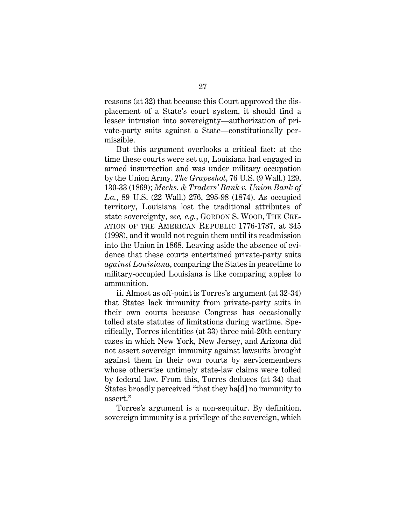reasons (at 32) that because this Court approved the displacement of a State's court system, it should find a lesser intrusion into sovereignty—authorization of private-party suits against a State—constitutionally permissible.

<span id="page-39-2"></span><span id="page-39-1"></span><span id="page-39-0"></span>But this argument overlooks a critical fact: at the time these courts were set up, Louisiana had engaged in armed insurrection and was under military occupation by the Union Army. *The Grapeshot*, 76 U.S. (9 Wall.) 129, 130-33 (1869); *Mechs. & Traders' Bank v. Union Bank of La.*, 89 U.S. (22 Wall.) 276, 295-98 (1874). As occupied territory, Louisiana lost the traditional attributes of state sovereignty, *see, e.g.*, GORDON S. WOOD, THE CRE-ATION OF THE AMERICAN REPUBLIC 1776-1787, at 345 (1998), and it would not regain them until its readmission into the Union in 1868. Leaving aside the absence of evidence that these courts entertained private-party suits *against Louisiana*, comparing the States in peacetime to military-occupied Louisiana is like comparing apples to ammunition.

**ii.** Almost as off-point is Torres's argument (at 32-34) that States lack immunity from private-party suits in their own courts because Congress has occasionally tolled state statutes of limitations during wartime. Specifically, Torres identifies (at 33) three mid-20th century cases in which New York, New Jersey, and Arizona did not assert sovereign immunity against lawsuits brought against them in their own courts by servicemembers whose otherwise untimely state-law claims were tolled by federal law. From this, Torres deduces (at 34) that States broadly perceived "that they ha[d] no immunity to assert."

Torres's argument is a non-sequitur. By definition, sovereign immunity is a privilege of the sovereign, which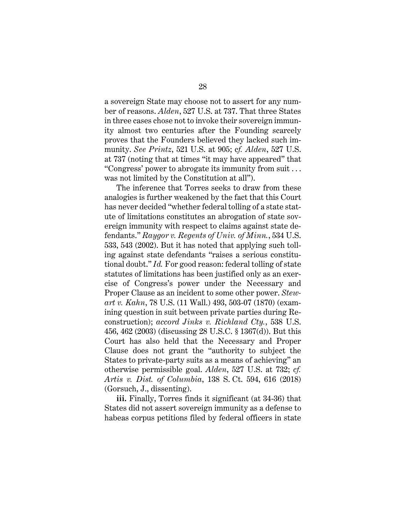a sovereign State may choose not to assert for any number of reasons. *Alden*, 527 U.S. at 737. That three States in three cases chose not to invoke their sovereign immunity almost two centuries after the Founding scarcely proves that the Founders believed they lacked such immunity. *See Printz*, 521 U.S. at 905; c*f. Alden*, 527 U.S. at 737 (noting that at times "it may have appeared" that "Congress' power to abrogate its immunity from suit . . . was not limited by the Constitution at all").

<span id="page-40-4"></span><span id="page-40-3"></span><span id="page-40-2"></span>The inference that Torres seeks to draw from these analogies is further weakened by the fact that this Court has never decided "whether federal tolling of a state statute of limitations constitutes an abrogation of state sovereign immunity with respect to claims against state defendants." *Raygor v. Regents of Univ. of Minn.*, 534 U.S. 533, 543 (2002). But it has noted that applying such tolling against state defendants "raises a serious constitutional doubt." *Id.* For good reason: federal tolling of state statutes of limitations has been justified only as an exercise of Congress's power under the Necessary and Proper Clause as an incident to some other power. *Stewart v. Kahn*, 78 U.S. (11 Wall.) 493, 503-07 (1870) (examining question in suit between private parties during Reconstruction); *accord Jinks v. Richland Cty.*, 538 U.S. 456, 462 (2003) (discussing 28 U.S.C. § 1367(d)). But this Court has also held that the Necessary and Proper Clause does not grant the "authority to subject the States to private-party suits as a means of achieving" an otherwise permissible goal. *Alden*, 527 U.S. at 732; *cf. Artis v. Dist. of Columbia*, 138 S. Ct. 594, 616 (2018) (Gorsuch, J., dissenting).

<span id="page-40-5"></span><span id="page-40-1"></span><span id="page-40-0"></span>**iii.** Finally, Torres finds it significant (at 34-36) that States did not assert sovereign immunity as a defense to habeas corpus petitions filed by federal officers in state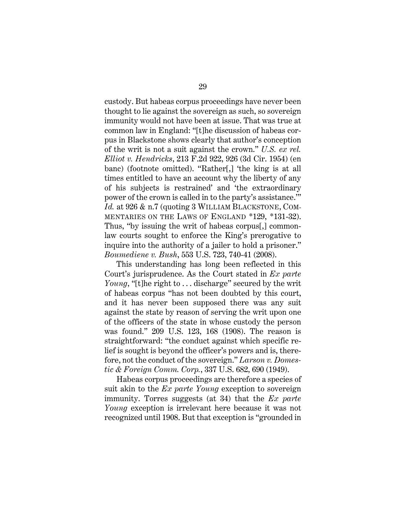<span id="page-41-1"></span>custody. But habeas corpus proceedings have never been thought to lie against the sovereign as such, so sovereign immunity would not have been at issue. That was true at common law in England: "[t]he discussion of habeas corpus in Blackstone shows clearly that author's conception of the writ is not a suit against the crown." *U.S. ex rel. Elliot v. Hendricks*, 213 F.2d 922, 926 (3d Cir. 1954) (en banc) (footnote omitted). "Rather[,] 'the king is at all times entitled to have an account why the liberty of any of his subjects is restrained' and 'the extraordinary power of the crown is called in to the party's assistance.'" *Id.* at 926 & n.7 (quoting 3 WILLIAM BLACKSTONE, COM-MENTARIES ON THE LAWS OF ENGLAND \*129, \*131-32). Thus, "by issuing the writ of habeas corpus[,] commonlaw courts sought to enforce the King's prerogative to inquire into the authority of a jailer to hold a prisoner." *Boumediene v. Bush*, 553 U.S. 723, 740-41 (2008).

<span id="page-41-3"></span><span id="page-41-0"></span>This understanding has long been reflected in this Court's jurisprudence. As the Court stated in *Ex parte Young*, "[t]he right to ... discharge" secured by the writ of habeas corpus "has not been doubted by this court, and it has never been supposed there was any suit against the state by reason of serving the writ upon one of the officers of the state in whose custody the person was found." 209 U.S. 123, 168 (1908). The reason is straightforward: "the conduct against which specific relief is sought is beyond the officer's powers and is, therefore, not the conduct of the sovereign." *Larson v. Domestic & Foreign Comm. Corp.*, 337 U.S. 682, 690 (1949).

<span id="page-41-2"></span>Habeas corpus proceedings are therefore a species of suit akin to the *Ex parte Young* exception to sovereign immunity. Torres suggests (at 34) that the *Ex parte Young* exception is irrelevant here because it was not recognized until 1908. But that exception is "grounded in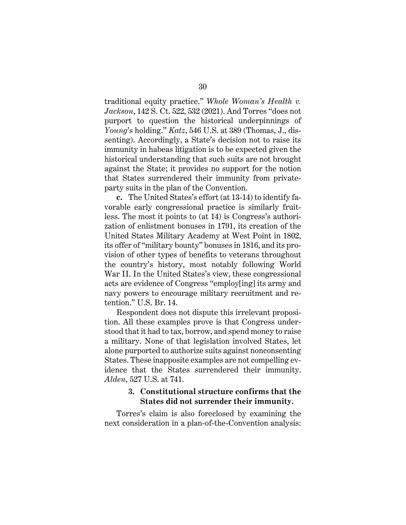<span id="page-42-1"></span>traditional equity practice." *Whole Woman's Health v. Jackson*, 142 S. Ct. 522, 532 (2021). And Torres "does not purport to question the historical underpinnings of *Young*'s holding." *Katz*, 546 U.S. at 389 (Thomas, J., dissenting). Accordingly, a State's decision not to raise its immunity in habeas litigation is to be expected given the historical understanding that such suits are not brought against the State; it provides no support for the notion that States surrendered their immunity from privateparty suits in the plan of the Convention.

**c.** The United States's effort (at 13-14) to identify favorable early congressional practice is similarly fruitless. The most it points to (at 14) is Congress's authorization of enlistment bonuses in 1791, its creation of the United States Military Academy at West Point in 1802, its offer of "military bounty" bonuses in 1816, and its provision of other types of benefits to veterans throughout the country's history, most notably following World War II. In the United States's view, these congressional acts are evidence of Congress "employ[ing] its army and navy powers to encourage military recruitment and retention." U.S. Br. 14.

Respondent does not dispute this irrelevant proposition. All these examples prove is that Congress understood that it had to tax, borrow, and spend money to raise a military. None of that legislation involved States, let alone purported to authorize suits against nonconsenting States. These inapposite examples are not compelling evidence that the States surrendered their immunity. *Alden*, 527 U.S. at 741.

## <span id="page-42-0"></span>**3. Constitutional structure confirms that the States did not surrender their immunity.**

Torres's claim is also foreclosed by examining the next consideration in a plan-of-the-Convention analysis: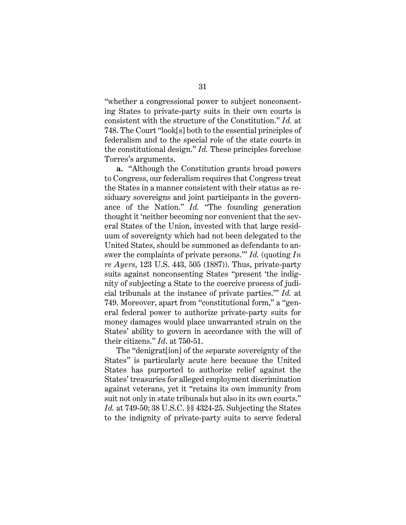"whether a congressional power to subject nonconsenting States to private-party suits in their own courts is consistent with the structure of the Constitution." *Id.* at 748. The Court "look[s] both to the essential principles of federalism and to the special role of the state courts in the constitutional design." *Id.* These principles foreclose Torres's arguments.

<span id="page-43-0"></span>**a.** "Although the Constitution grants broad powers to Congress, our federalism requires that Congress treat the States in a manner consistent with their status as residuary sovereigns and joint participants in the governance of the Nation." *Id.* "The founding generation thought it 'neither becoming nor convenient that the several States of the Union, invested with that large residuum of sovereignty which had not been delegated to the United States, should be summoned as defendants to answer the complaints of private persons.'" *Id.* (quoting *In re Ayers*, 123 U.S. 443, 505 (1887)). Thus, private-party suits against nonconsenting States "present 'the indignity of subjecting a State to the coercive process of judicial tribunals at the instance of private parties.'" *Id.* at 749. Moreover, apart from "constitutional form," a "general federal power to authorize private-party suits for money damages would place unwarranted strain on the States' ability to govern in accordance with the will of their citizens." *Id*. at 750-51.

<span id="page-43-1"></span>The "denigrat[ion] of the separate sovereignty of the States" is particularly acute here because the United States has purported to authorize relief against the States' treasuries for alleged employment discrimination against veterans, yet it "retains its own immunity from suit not only in state tribunals but also in its own courts." *Id.* at 749-50; 38 U.S.C. §§ 4324-25. Subjecting the States to the indignity of private-party suits to serve federal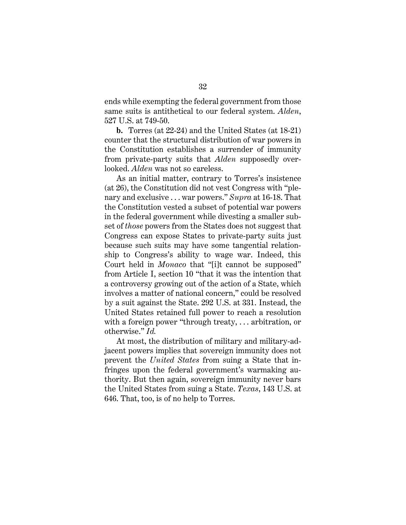ends while exempting the federal government from those same suits is antithetical to our federal system. *Alden*, 527 U.S. at 749-50.

**b.** Torres (at 22-24) and the United States (at 18-21) counter that the structural distribution of war powers in the Constitution establishes a surrender of immunity from private-party suits that *Alden* supposedly overlooked. *Alden* was not so careless.

As an initial matter, contrary to Torres's insistence (at 26), the Constitution did not vest Congress with "plenary and exclusive . . . war powers." *Supra* at 16-18. That the Constitution vested a subset of potential war powers in the federal government while divesting a smaller subset of *those* powers from the States does not suggest that Congress can expose States to private-party suits just because such suits may have some tangential relationship to Congress's ability to wage war. Indeed, this Court held in *Monaco* that "[i]t cannot be supposed" from Article I, section 10 "that it was the intention that a controversy growing out of the action of a State, which involves a matter of national concern," could be resolved by a suit against the State. 292 U.S. at 331. Instead, the United States retained full power to reach a resolution with a foreign power "through treaty, ... arbitration, or otherwise." *Id.*

<span id="page-44-2"></span><span id="page-44-1"></span><span id="page-44-0"></span>At most, the distribution of military and military-adjacent powers implies that sovereign immunity does not prevent the *United States* from suing a State that infringes upon the federal government's warmaking authority. But then again, sovereign immunity never bars the United States from suing a State. *Texas*, 143 U.S. at 646. That, too, is of no help to Torres.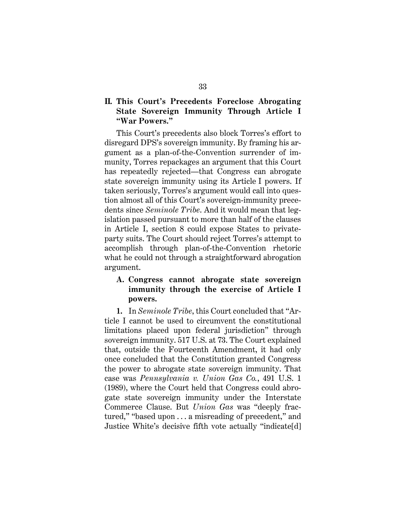# <span id="page-45-0"></span>**II. This Court's Precedents Foreclose Abrogating State Sovereign Immunity Through Article I "War Powers."**

This Court's precedents also block Torres's effort to disregard DPS's sovereign immunity. By framing his argument as a plan-of-the-Convention surrender of immunity, Torres repackages an argument that this Court has repeatedly rejected—that Congress can abrogate state sovereign immunity using its Article I powers. If taken seriously, Torres's argument would call into question almost all of this Court's sovereign-immunity precedents since *Seminole Tribe*. And it would mean that legislation passed pursuant to more than half of the clauses in Article I, section 8 could expose States to privateparty suits. The Court should reject Torres's attempt to accomplish through plan-of-the-Convention rhetoric what he could not through a straightforward abrogation argument.

# <span id="page-45-3"></span><span id="page-45-1"></span>**A. Congress cannot abrogate state sovereign immunity through the exercise of Article I powers.**

<span id="page-45-4"></span><span id="page-45-2"></span>**1.** In *Seminole Tribe*, this Court concluded that "Article I cannot be used to circumvent the constitutional limitations placed upon federal jurisdiction" through sovereign immunity. 517 U.S. at 73. The Court explained that, outside the Fourteenth Amendment, it had only once concluded that the Constitution granted Congress the power to abrogate state sovereign immunity. That case was *Pennsylvania v. Union Gas Co.*, 491 U.S. 1 (1989), where the Court held that Congress could abrogate state sovereign immunity under the Interstate Commerce Clause. But *Union Gas* was "deeply fractured," "based upon . . . a misreading of precedent," and Justice White's decisive fifth vote actually "indicate[d]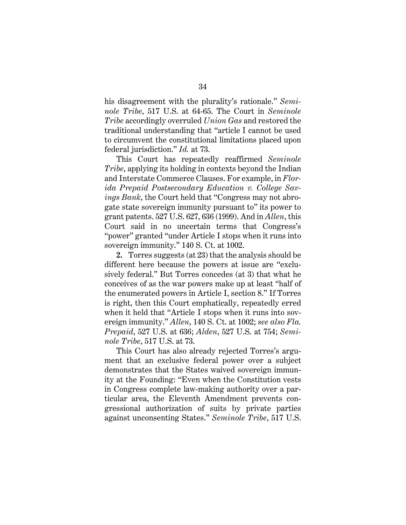his disagreement with the plurality's rationale." *Seminole Tribe*, 517 U.S. at 64-65. The Court in *Seminole Tribe* accordingly overruled *Union Gas* and restored the traditional understanding that "article I cannot be used to circumvent the constitutional limitations placed upon federal jurisdiction." *Id.* at 73.

<span id="page-46-0"></span>This Court has repeatedly reaffirmed *Seminole Tribe*, applying its holding in contexts beyond the Indian and Interstate Commerce Clauses. For example, in *Florida Prepaid Postsecondary Education v. College Savings Bank*, the Court held that "Congress may not abrogate state sovereign immunity pursuant to" its power to grant patents. 527 U.S. 627, 636 (1999). And in *Allen*, this Court said in no uncertain terms that Congress's "power" granted "under Article I stops when it runs into sovereign immunity." 140 S. Ct. at 1002.

<span id="page-46-1"></span>**2.** Torres suggests (at 23) that the analysis should be different here because the powers at issue are "exclusively federal." But Torres concedes (at 3) that what he conceives of as the war powers make up at least "half of the enumerated powers in Article I, section 8." If Torres is right, then this Court emphatically, repeatedly erred when it held that "Article I stops when it runs into sovereign immunity." *Allen*, 140 S. Ct. at 1002; *see also Fla. Prepaid*, 527 U.S. at 636; *Alden*, 527 U.S. at 754; *Seminole Tribe*, 517 U.S. at 73.

This Court has also already rejected Torres's argument that an exclusive federal power over a subject demonstrates that the States waived sovereign immunity at the Founding: "Even when the Constitution vests in Congress complete law-making authority over a particular area, the Eleventh Amendment prevents congressional authorization of suits by private parties against unconsenting States." *Seminole Tribe*, 517 U.S.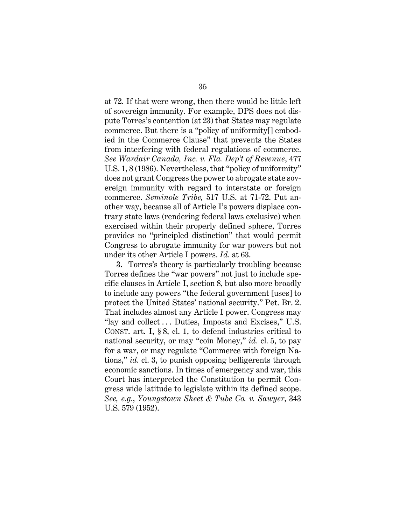<span id="page-47-0"></span>at 72. If that were wrong, then there would be little left of sovereign immunity. For example, DPS does not dispute Torres's contention (at 23) that States may regulate commerce. But there is a "policy of uniformity[] embodied in the Commerce Clause" that prevents the States from interfering with federal regulations of commerce. *See Wardair Canada, Inc. v. Fla. Dep't of Revenue*, 477 U.S. 1, 8 (1986). Nevertheless, that "policy of uniformity" does not grant Congress the power to abrogate state sovereign immunity with regard to interstate or foreign commerce. *Seminole Tribe,* 517 U.S. at 71-72. Put another way, because all of Article I's powers displace contrary state laws (rendering federal laws exclusive) when exercised within their properly defined sphere, Torres provides no "principled distinction" that would permit Congress to abrogate immunity for war powers but not under its other Article I powers. *Id.* at 63.

<span id="page-47-4"></span><span id="page-47-3"></span><span id="page-47-2"></span><span id="page-47-1"></span>**3.** Torres's theory is particularly troubling because Torres defines the "war powers" not just to include specific clauses in Article I, section 8, but also more broadly to include any powers "the federal government [uses] to protect the United States' national security." Pet. Br. 2. That includes almost any Article I power. Congress may "lay and collect ... Duties, Imposts and Excises," U.S. CONST. art. I, § 8, cl. 1, to defend industries critical to national security, or may "coin Money," *id.* cl. 5, to pay for a war, or may regulate "Commerce with foreign Nations," *id.* cl. 3, to punish opposing belligerents through economic sanctions. In times of emergency and war, this Court has interpreted the Constitution to permit Congress wide latitude to legislate within its defined scope. *See, e.g.*, *Youngstown Sheet & Tube Co. v. Sawyer*, 343 U.S. 579 (1952).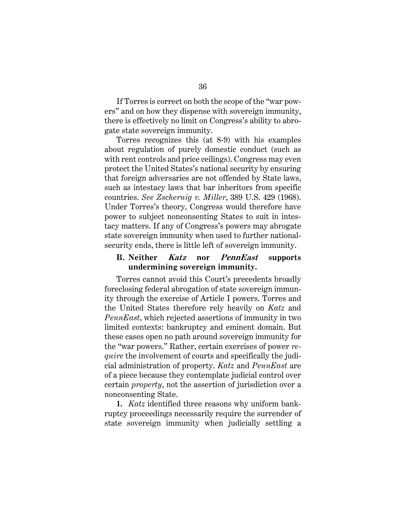If Torres is correct on both the scope of the "war powers" and on how they dispense with sovereign immunity, there is effectively no limit on Congress's ability to abrogate state sovereign immunity.

Torres recognizes this (at 8-9) with his examples about regulation of purely domestic conduct (such as with rent controls and price ceilings). Congress may even protect the United States's national security by ensuring that foreign adversaries are not offended by State laws, such as intestacy laws that bar inheritors from specific countries. *See Zschernig v. Miller*, 389 U.S. 429 (1968). Under Torres's theory, Congress would therefore have power to subject nonconsenting States to suit in intestacy matters. If any of Congress's powers may abrogate state sovereign immunity when used to further nationalsecurity ends, there is little left of sovereign immunity.

# <span id="page-48-1"></span><span id="page-48-0"></span>**B. Neither Katz nor PennEast supports undermining sovereign immunity.**

Torres cannot avoid this Court's precedents broadly foreclosing federal abrogation of state sovereign immunity through the exercise of Article I powers. Torres and the United States therefore rely heavily on *Katz* and *PennEast*, which rejected assertions of immunity in two limited contexts: bankruptcy and eminent domain. But these cases open no path around sovereign immunity for the "war powers." Rather, certain exercises of power *require* the involvement of courts and specifically the judicial administration of property. *Katz* and *PennEast* are of a piece because they contemplate judicial control over certain *property*, not the assertion of jurisdiction over a nonconsenting State.

**1.** *Katz* identified three reasons why uniform bankruptcy proceedings necessarily require the surrender of state sovereign immunity when judicially settling a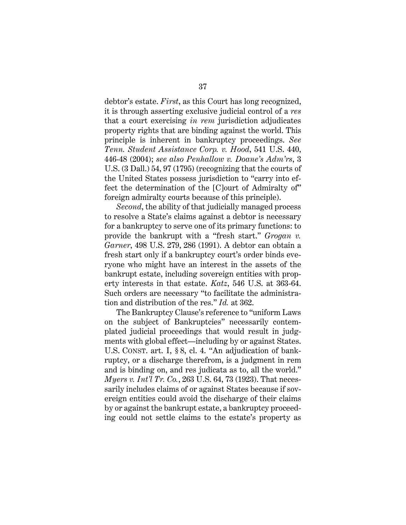<span id="page-49-3"></span>debtor's estate. *First*, as this Court has long recognized, it is through asserting exclusive judicial control of a *res* that a court exercising *in rem* jurisdiction adjudicates property rights that are binding against the world. This principle is inherent in bankruptcy proceedings. *See Tenn. Student Assistance Corp. v. Hood*, 541 U.S. 440, 446-48 (2004); *see also Penhallow v. Doane's Adm'rs*, 3 U.S. (3 Dall.) 54, 97 (1795) (recognizing that the courts of the United States possess jurisdiction to "carry into effect the determination of the [C]ourt of Admiralty of" foreign admiralty courts because of this principle).

<span id="page-49-2"></span><span id="page-49-0"></span>*Second*, the ability of that judicially managed process to resolve a State's claims against a debtor is necessary for a bankruptcy to serve one of its primary functions: to provide the bankrupt with a "fresh start." *Grogan v. Garner*, 498 U.S. 279, 286 (1991). A debtor can obtain a fresh start only if a bankruptcy court's order binds everyone who might have an interest in the assets of the bankrupt estate, including sovereign entities with property interests in that estate. *Katz*, 546 U.S. at 363-64. Such orders are necessary "to facilitate the administration and distribution of the res." *Id.* at 362.

<span id="page-49-4"></span><span id="page-49-1"></span>The Bankruptcy Clause's reference to "uniform Laws on the subject of Bankruptcies" necessarily contemplated judicial proceedings that would result in judgments with global effect—including by or against States. U.S. CONST. art. I, § 8, cl. 4. "An adjudication of bankruptcy, or a discharge therefrom, is a judgment in rem and is binding on, and res judicata as to, all the world." *Myers v. Int'l Tr. Co.*, 263 U.S. 64, 73 (1923). That necessarily includes claims of or against States because if sovereign entities could avoid the discharge of their claims by or against the bankrupt estate, a bankruptcy proceeding could not settle claims to the estate's property as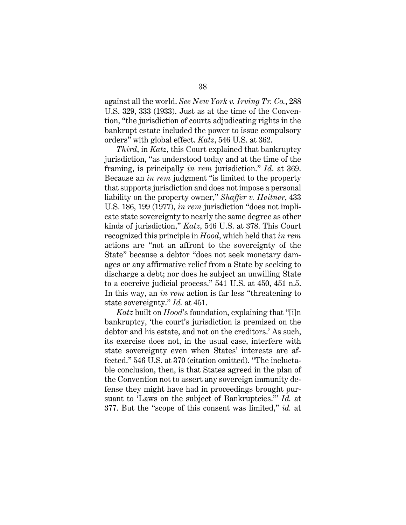<span id="page-50-0"></span>against all the world. *See New York v. Irving Tr. Co.*, 288 U.S. 329, 333 (1933). Just as at the time of the Convention, "the jurisdiction of courts adjudicating rights in the bankrupt estate included the power to issue compulsory orders" with global effect. *Katz*, 546 U.S. at 362.

<span id="page-50-1"></span>*Third*, in *Katz*, this Court explained that bankruptcy jurisdiction, "as understood today and at the time of the framing, is principally *in rem* jurisdiction." *Id*. at 369. Because an *in rem* judgment "is limited to the property that supports jurisdiction and does not impose a personal liability on the property owner," *Shaffer v. Heitner*, 433 U.S. 186, 199 (1977), *in rem* jurisdiction "does not implicate state sovereignty to nearly the same degree as other kinds of jurisdiction," *Katz*, 546 U.S. at 378. This Court recognized this principle in *Hood*, which held that *in rem*  actions are "not an affront to the sovereignty of the State" because a debtor "does not seek monetary damages or any affirmative relief from a State by seeking to discharge a debt; nor does he subject an unwilling State to a coercive judicial process." 541 U.S. at 450, 451 n.5. In this way, an *in rem* action is far less "threatening to state sovereignty." *Id.* at 451.

<span id="page-50-2"></span>*Katz* built on *Hood*'s foundation, explaining that "[i]n bankruptcy, 'the court's jurisdiction is premised on the debtor and his estate, and not on the creditors.' As such, its exercise does not, in the usual case, interfere with state sovereignty even when States' interests are affected." 546 U.S. at 370 (citation omitted). "The ineluctable conclusion, then, is that States agreed in the plan of the Convention not to assert any sovereign immunity defense they might have had in proceedings brought pursuant to 'Laws on the subject of Bankruptcies.'" *Id.* at 377. But the "scope of this consent was limited," *id.* at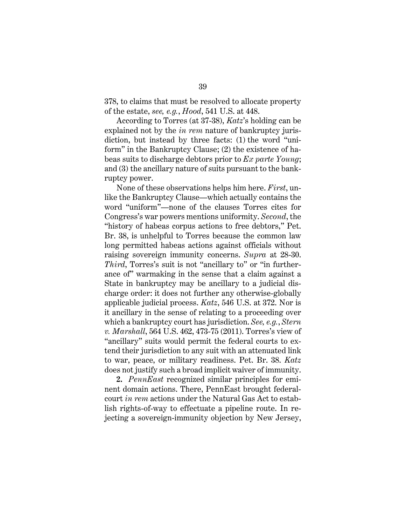378, to claims that must be resolved to allocate property of the estate, *see, e.g.*, *Hood*, 541 U.S. at 448.

According to Torres (at 37-38), *Katz*'s holding can be explained not by the *in rem* nature of bankruptcy jurisdiction, but instead by three facts: (1) the word "uniform" in the Bankruptcy Clause; (2) the existence of habeas suits to discharge debtors prior to *Ex parte Young*; and (3) the ancillary nature of suits pursuant to the bankruptcy power.

<span id="page-51-1"></span>None of these observations helps him here. *First*, unlike the Bankruptcy Clause—which actually contains the word "uniform"—none of the clauses Torres cites for Congress's war powers mentions uniformity. *Second*, the "history of habeas corpus actions to free debtors," Pet. Br. 38, is unhelpful to Torres because the common law long permitted habeas actions against officials without raising sovereign immunity concerns. *Supra* at 28-30. *Third*, Torres's suit is not "ancillary to" or "in furtherance of" warmaking in the sense that a claim against a State in bankruptcy may be ancillary to a judicial discharge order: it does not further any otherwise-globally applicable judicial process. *Katz*, 546 U.S. at 372. Nor is it ancillary in the sense of relating to a proceeding over which a bankruptcy court has jurisdiction. *See, e.g.*, *Stern v. Marshall*, 564 U.S. 462, 473-75 (2011). Torres's view of "ancillary" suits would permit the federal courts to extend their jurisdiction to any suit with an attenuated link to war, peace, or military readiness. Pet. Br. 38. *Katz* does not justify such a broad implicit waiver of immunity.

<span id="page-51-0"></span>**2.** *PennEast* recognized similar principles for eminent domain actions. There, PennEast brought federalcourt *in rem* actions under the Natural Gas Act to establish rights-of-way to effectuate a pipeline route. In rejecting a sovereign-immunity objection by New Jersey,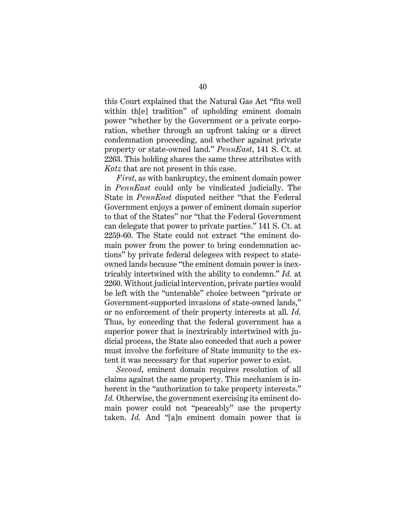this Court explained that the Natural Gas Act "fits well within th[e] tradition" of upholding eminent domain power "whether by the Government or a private corporation, whether through an upfront taking or a direct condemnation proceeding, and whether against private property or state-owned land." *PennEast*, 141 S. Ct. at 2263. This holding shares the same three attributes with *Katz* that are not present in this case.

*First*, as with bankruptcy, the eminent domain power in *PennEast* could only be vindicated judicially. The State in *PennEast* disputed neither "that the Federal Government enjoys a power of eminent domain superior to that of the States" nor "that the Federal Government can delegate that power to private parties." 141 S. Ct. at 2259-60. The State could not extract "the eminent domain power from the power to bring condemnation actions" by private federal delegees with respect to stateowned lands because "the eminent domain power is inextricably intertwined with the ability to condemn." *Id.* at 2260. Without judicial intervention, private parties would be left with the "untenable" choice between "private or Government-supported invasions of state-owned lands," or no enforcement of their property interests at all. *Id.* Thus, by conceding that the federal government has a superior power that is inextricably intertwined with judicial process, the State also conceded that such a power must involve the forfeiture of State immunity to the extent it was necessary for that superior power to exist.

*Second*, eminent domain requires resolution of all claims against the same property. This mechanism is inherent in the "authorization to take property interests." *Id.* Otherwise, the government exercising its eminent domain power could not "peaceably" use the property taken. *Id.* And "[a]n eminent domain power that is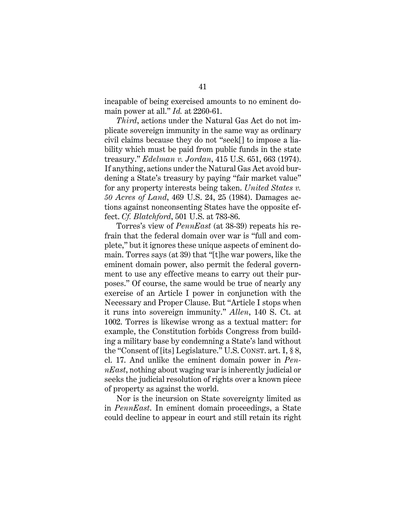incapable of being exercised amounts to no eminent domain power at all." *Id.* at 2260-61.

<span id="page-53-0"></span>*Third*, actions under the Natural Gas Act do not implicate sovereign immunity in the same way as ordinary civil claims because they do not "seek[] to impose a liability which must be paid from public funds in the state treasury." *Edelman v. Jordan*, 415 U.S. 651, 663 (1974). If anything, actions under the Natural Gas Act avoid burdening a State's treasury by paying "fair market value" for any property interests being taken. *United States v. 50 Acres of Land*, 469 U.S. 24, 25 (1984). Damages actions against nonconsenting States have the opposite effect. *Cf. Blatchford*, 501 U.S. at 783-86.

<span id="page-53-1"></span>Torres's view of *PennEast* (at 38-39) repeats his refrain that the federal domain over war is "full and complete," but it ignores these unique aspects of eminent domain. Torres says (at 39) that "[t]he war powers, like the eminent domain power, also permit the federal government to use any effective means to carry out their purposes." Of course, the same would be true of nearly any exercise of an Article I power in conjunction with the Necessary and Proper Clause. But "Article I stops when it runs into sovereign immunity." *Allen*, 140 S. Ct. at 1002. Torres is likewise wrong as a textual matter: for example, the Constitution forbids Congress from building a military base by condemning a State's land without the "Consent of [its] Legislature." U.S. CONST. art. I, § 8, cl. 17. And unlike the eminent domain power in *PennEast*, nothing about waging war is inherently judicial or seeks the judicial resolution of rights over a known piece of property as against the world.

<span id="page-53-2"></span>Nor is the incursion on State sovereignty limited as in *PennEast*. In eminent domain proceedings, a State could decline to appear in court and still retain its right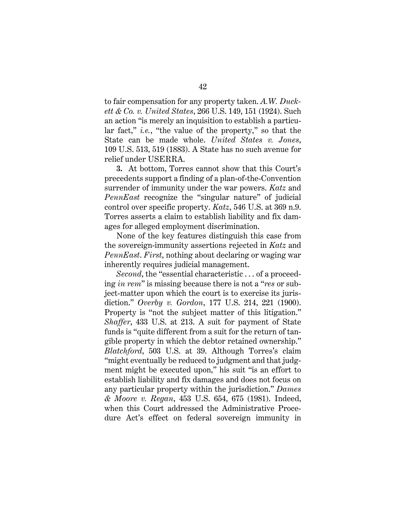<span id="page-54-0"></span>to fair compensation for any property taken. *A.W. Duckett & Co. v. United States*, 266 U.S. 149, 151 (1924). Such an action "is merely an inquisition to establish a particular fact," *i.e.*, "the value of the property," so that the State can be made whole. *United States v. Jones*, 109 U.S. 513, 519 (1883). A State has no such avenue for relief under USERRA.

<span id="page-54-4"></span>**3.** At bottom, Torres cannot show that this Court's precedents support a finding of a plan-of-the-Convention surrender of immunity under the war powers. *Katz* and *PennEast* recognize the "singular nature" of judicial control over specific property. *Katz*, 546 U.S. at 369 n.9. Torres asserts a claim to establish liability and fix damages for alleged employment discrimination.

None of the key features distinguish this case from the sovereign-immunity assertions rejected in *Katz* and *PennEast*. *First*, nothing about declaring or waging war inherently requires judicial management.

<span id="page-54-3"></span><span id="page-54-2"></span><span id="page-54-1"></span>*Second*, the "essential characteristic . . . of a proceeding *in rem*" is missing because there is not a "*res* or subject-matter upon which the court is to exercise its jurisdiction." *Overby v. Gordon*, 177 U.S. 214, 221 (1900). Property is "not the subject matter of this litigation." *Shaffer*, 433 U.S. at 213. A suit for payment of State funds is "quite different from a suit for the return of tangible property in which the debtor retained ownership." *Blatchford*, 503 U.S. at 39. Although Torres's claim "might eventually be reduced to judgment and that judgment might be executed upon," his suit "is an effort to establish liability and fix damages and does not focus on any particular property within the jurisdiction." *Dames & Moore v. Regan*, 453 U.S. 654, 675 (1981). Indeed, when this Court addressed the Administrative Procedure Act's effect on federal sovereign immunity in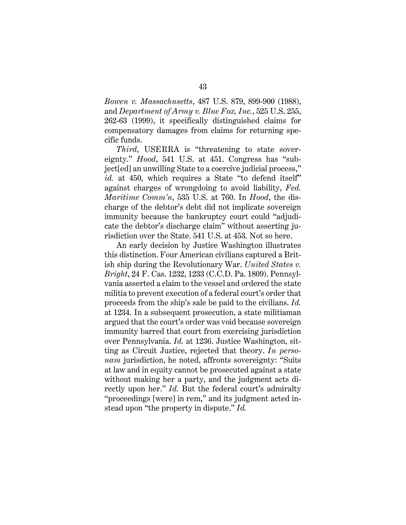<span id="page-55-1"></span><span id="page-55-0"></span>*Bowen v. Massachusetts*, 487 U.S. 879, 899-900 (1988), and *Department of Army v. Blue Fox, Inc.*, 525 U.S. 255, 262-63 (1999), it specifically distinguished claims for compensatory damages from claims for returning specific funds.

<span id="page-55-4"></span><span id="page-55-3"></span><span id="page-55-2"></span>*Third*, USERRA is "threatening to state sovereignty." *Hood*, 541 U.S. at 451. Congress has "subject[ed] an unwilling State to a coercive judicial process," id. at 450, which requires a State "to defend itself" against charges of wrongdoing to avoid liability, *Fed. Maritime Comm'n*, 535 U.S. at 760. In *Hood*, the discharge of the debtor's debt did not implicate sovereign immunity because the bankruptcy court could "adjudicate the debtor's discharge claim" without asserting jurisdiction over the State. 541 U.S. at 453. Not so here.

<span id="page-55-5"></span>An early decision by Justice Washington illustrates this distinction. Four American civilians captured a British ship during the Revolutionary War. *United States v. Bright*, 24 F. Cas. 1232, 1233 (C.C.D. Pa. 1809). Pennsylvania asserted a claim to the vessel and ordered the state militia to prevent execution of a federal court's order that proceeds from the ship's sale be paid to the civilians. *Id.* at 1234. In a subsequent prosecution, a state militiaman argued that the court's order was void because sovereign immunity barred that court from exercising jurisdiction over Pennsylvania. *Id.* at 1236. Justice Washington, sitting as Circuit Justice, rejected that theory. *In personam* jurisdiction, he noted, affronts sovereignty: "Suits at law and in equity cannot be prosecuted against a state without making her a party, and the judgment acts directly upon her." *Id.* But the federal court's admiralty "proceedings [were] in rem," and its judgment acted instead upon "the property in dispute." *Id.*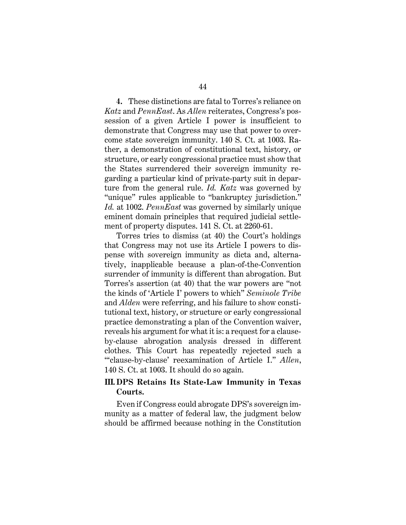**4.** These distinctions are fatal to Torres's reliance on *Katz* and *PennEast*. As *Allen* reiterates, Congress's possession of a given Article I power is insufficient to demonstrate that Congress may use that power to overcome state sovereign immunity. 140 S. Ct. at 1003. Rather, a demonstration of constitutional text, history, or structure, or early congressional practice must show that the States surrendered their sovereign immunity regarding a particular kind of private-party suit in departure from the general rule. *Id. Katz* was governed by "unique" rules applicable to "bankruptcy jurisdiction." *Id.* at 1002. *PennEast* was governed by similarly unique eminent domain principles that required judicial settlement of property disputes. 141 S. Ct. at 2260-61.

Torres tries to dismiss (at 40) the Court's holdings that Congress may not use its Article I powers to dispense with sovereign immunity as dicta and, alternatively, inapplicable because a plan-of-the-Convention surrender of immunity is different than abrogation. But Torres's assertion (at 40) that the war powers are "not the kinds of 'Article I' powers to which" *Seminole Tribe* and *Alden* were referring, and his failure to show constitutional text, history, or structure or early congressional practice demonstrating a plan of the Convention waiver, reveals his argument for what it is: a request for a clauseby-clause abrogation analysis dressed in different clothes. This Court has repeatedly rejected such a "'clause-by-clause' reexamination of Article I." *Allen*, 140 S. Ct. at 1003. It should do so again.

# <span id="page-56-0"></span>**III. DPS Retains Its State-Law Immunity in Texas Courts.**

Even if Congress could abrogate DPS's sovereign immunity as a matter of federal law, the judgment below should be affirmed because nothing in the Constitution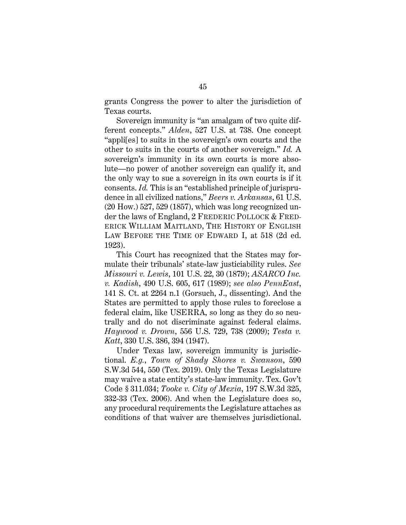grants Congress the power to alter the jurisdiction of Texas courts.

Sovereign immunity is "an amalgam of two quite different concepts." *Alden*, 527 U.S. at 738. One concept "appli[es] to suits in the sovereign's own courts and the other to suits in the courts of another sovereign." *Id.* A sovereign's immunity in its own courts is more absolute—no power of another sovereign can qualify it, and the only way to sue a sovereign in its own courts is if it consents. *Id.* This is an "established principle of jurisprudence in all civilized nations," *Beers v. Arkansas*, 61 U.S. (20 How.) 527, 529 (1857), which was long recognized under the laws of England, 2 FREDERIC POLLOCK & FRED-ERICK WILLIAM MAITLAND, THE HISTORY OF ENGLISH LAW BEFORE THE TIME OF EDWARD I, at 518 (2d ed. 1923).

<span id="page-57-8"></span><span id="page-57-3"></span><span id="page-57-1"></span><span id="page-57-0"></span>This Court has recognized that the States may formulate their tribunals' state-law justiciability rules. *See Missouri v. Lewis*, 101 U.S. 22, 30 (1879); *ASARCO Inc. v. Kadish*, 490 U.S. 605, 617 (1989); *see also PennEast*, 141 S. Ct. at 2264 n.1 (Gorsuch, J., dissenting). And the States are permitted to apply those rules to foreclose a federal claim, like USERRA, so long as they do so neutrally and do not discriminate against federal claims. *Haywood v. Drown*, 556 U.S. 729, 738 (2009); *Testa v. Katt*, 330 U.S. 386, 394 (1947).

<span id="page-57-7"></span><span id="page-57-6"></span><span id="page-57-5"></span><span id="page-57-4"></span><span id="page-57-2"></span>Under Texas law, sovereign immunity is jurisdictional. *E.g.*, *Town of Shady Shores v. Swanson*, 590 S.W.3d 544, 550 (Tex. 2019). Only the Texas Legislature may waive a state entity's state-law immunity. Tex. Gov't Code § 311.034; *Tooke v. City of Mexia*, 197 S.W.3d 325, 332-33 (Tex. 2006). And when the Legislature does so, any procedural requirements the Legislature attaches as conditions of that waiver are themselves jurisdictional.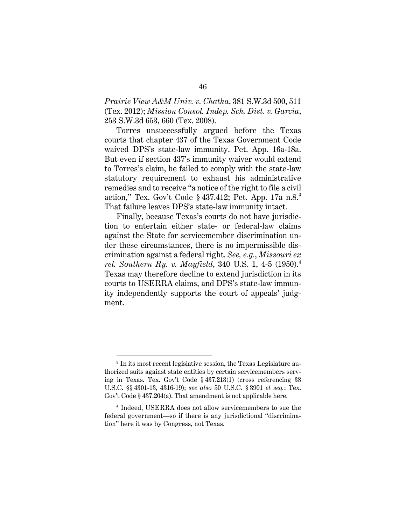<span id="page-58-1"></span><span id="page-58-0"></span>*Prairie View A&M Univ. v. Chatha*, 381 S.W.3d 500, 511 (Tex. 2012); *Mission Consol. Indep. Sch. Dist. v. Garcia*, 253 S.W.3d 653, 660 (Tex. 2008).

<span id="page-58-5"></span>Torres unsuccessfully argued before the Texas courts that chapter 437 of the Texas Government Code waived DPS's state-law immunity. Pet. App. 16a-18a. But even if section 437's immunity waiver would extend to Torres's claim, he failed to comply with the state-law statutory requirement to exhaust his administrative remedies and to receive "a notice of the right to file a civil action," Tex. Gov't Code § 437.412; Pet. App. 17a n.8.[3](#page-58-9) That failure leaves DPS's state-law immunity intact.

<span id="page-58-8"></span><span id="page-58-2"></span>Finally, because Texas's courts do not have jurisdiction to entertain either state- or federal-law claims against the State for servicemember discrimination under these circumstances, there is no impermissible discrimination against a federal right. *See, e.g.*, *Missouri ex rel. Southern Ry. v. Mayfield*, 340 U.S. 1, 4-5 (1950). [4](#page-58-10) Texas may therefore decline to extend jurisdiction in its courts to USERRA claims, and DPS's state-law immunity independently supports the court of appeals' judgment.

<span id="page-58-9"></span><span id="page-58-7"></span><span id="page-58-3"></span><sup>3</sup> In its most recent legislative session, the Texas Legislature authorized suits against state entities by certain servicemembers serving in Texas. Tex. Gov't Code § 437.213(1) (cross referencing 38 U.S.C. §§ 4301-13, 4316-19); *see also* 50 U.S.C. § 3901 *et seq.*; Tex. Gov't Code § 437.204(a). That amendment is not applicable here.

<span id="page-58-10"></span><span id="page-58-6"></span><span id="page-58-4"></span><sup>4</sup> Indeed, USERRA does not allow servicemembers to sue the federal government—so if there is any jurisdictional "discrimination" here it was by Congress, not Texas.